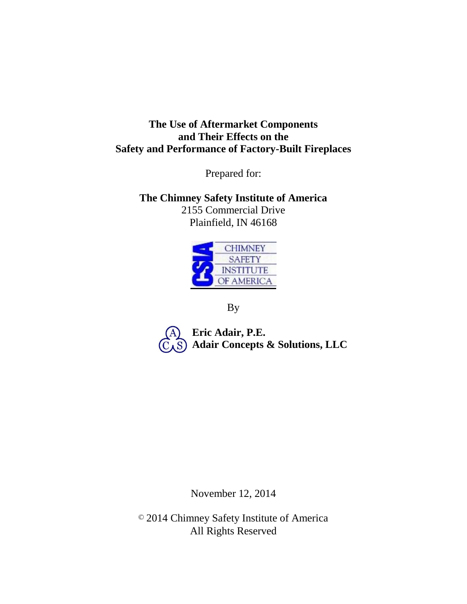# **The Use of Aftermarket Components and Their Effects on the Safety and Performance of Factory-Built Fireplaces**

Prepared for:

**The Chimney Safety Institute of America** 2155 Commercial Drive Plainfield, IN 46168



By

**Eric Adair, P.E. Adair Concepts & Solutions, LLC**

November 12, 2014

© 2014 Chimney Safety Institute of America All Rights Reserved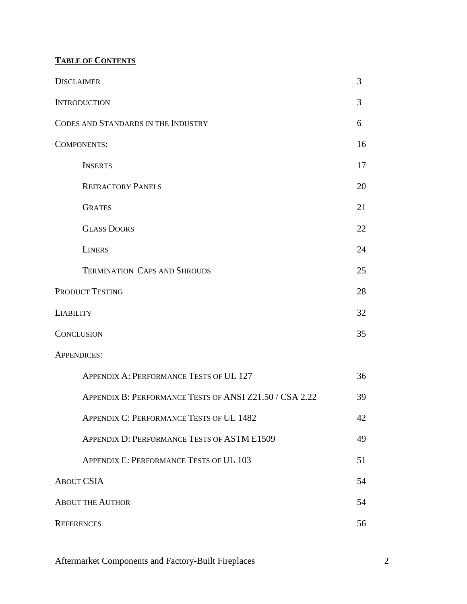# **TABLE OF CONTENTS**

| <b>DISCLAIMER</b>                                       | 3  |  |  |  |
|---------------------------------------------------------|----|--|--|--|
| <b>INTRODUCTION</b>                                     | 3  |  |  |  |
| CODES AND STANDARDS IN THE INDUSTRY                     | 6  |  |  |  |
| <b>COMPONENTS:</b>                                      |    |  |  |  |
| <b>INSERTS</b>                                          | 17 |  |  |  |
| <b>REFRACTORY PANELS</b>                                | 20 |  |  |  |
| <b>GRATES</b>                                           | 21 |  |  |  |
| <b>GLASS DOORS</b>                                      | 22 |  |  |  |
| <b>LINERS</b>                                           | 24 |  |  |  |
| <b>TERMINATION CAPS AND SHROUDS</b>                     | 25 |  |  |  |
| <b>PRODUCT TESTING</b>                                  | 28 |  |  |  |
| <b>LIABILITY</b>                                        | 32 |  |  |  |
| <b>CONCLUSION</b>                                       | 35 |  |  |  |
| <b>APPENDICES:</b>                                      |    |  |  |  |
| APPENDIX A: PERFORMANCE TESTS OF UL 127                 | 36 |  |  |  |
| APPENDIX B: PERFORMANCE TESTS OF ANSI Z21.50 / CSA 2.22 | 39 |  |  |  |
| APPENDIX C: PERFORMANCE TESTS OF UL 1482                | 42 |  |  |  |
| APPENDIX D: PERFORMANCE TESTS OF ASTM E1509             | 49 |  |  |  |
| APPENDIX E: PERFORMANCE TESTS OF UL 103                 | 51 |  |  |  |
| <b>ABOUT CSIA</b>                                       | 54 |  |  |  |
| <b>ABOUT THE AUTHOR</b>                                 | 54 |  |  |  |
| <b>REFERENCES</b>                                       | 56 |  |  |  |

Aftermarket Components and Factory-Built Fireplaces 2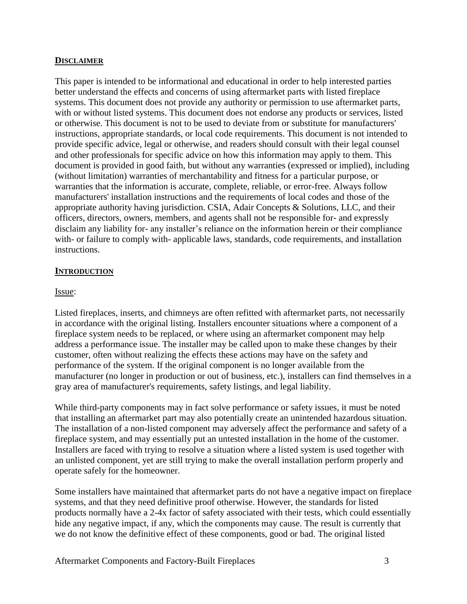#### **DISCLAIMER**

This paper is intended to be informational and educational in order to help interested parties better understand the effects and concerns of using aftermarket parts with listed fireplace systems. This document does not provide any authority or permission to use aftermarket parts, with or without listed systems. This document does not endorse any products or services, listed or otherwise. This document is not to be used to deviate from or substitute for manufacturers' instructions, appropriate standards, or local code requirements. This document is not intended to provide specific advice, legal or otherwise, and readers should consult with their legal counsel and other professionals for specific advice on how this information may apply to them. This document is provided in good faith, but without any warranties (expressed or implied), including (without limitation) warranties of merchantability and fitness for a particular purpose, or warranties that the information is accurate, complete, reliable, or error-free. Always follow manufacturers' installation instructions and the requirements of local codes and those of the appropriate authority having jurisdiction. CSIA, Adair Concepts & Solutions, LLC, and their officers, directors, owners, members, and agents shall not be responsible for- and expressly disclaim any liability for- any installer's reliance on the information herein or their compliance with- or failure to comply with- applicable laws, standards, code requirements, and installation instructions.

#### **INTRODUCTION**

### Issue:

Listed fireplaces, inserts, and chimneys are often refitted with aftermarket parts, not necessarily in accordance with the original listing. Installers encounter situations where a component of a fireplace system needs to be replaced, or where using an aftermarket component may help address a performance issue. The installer may be called upon to make these changes by their customer, often without realizing the effects these actions may have on the safety and performance of the system. If the original component is no longer available from the manufacturer (no longer in production or out of business, etc.), installers can find themselves in a gray area of manufacturer's requirements, safety listings, and legal liability.

While third-party components may in fact solve performance or safety issues, it must be noted that installing an aftermarket part may also potentially create an unintended hazardous situation. The installation of a non-listed component may adversely affect the performance and safety of a fireplace system, and may essentially put an untested installation in the home of the customer. Installers are faced with trying to resolve a situation where a listed system is used together with an unlisted component, yet are still trying to make the overall installation perform properly and operate safely for the homeowner.

Some installers have maintained that aftermarket parts do not have a negative impact on fireplace systems, and that they need definitive proof otherwise. However, the standards for listed products normally have a 2-4x factor of safety associated with their tests, which could essentially hide any negative impact, if any, which the components may cause. The result is currently that we do not know the definitive effect of these components, good or bad. The original listed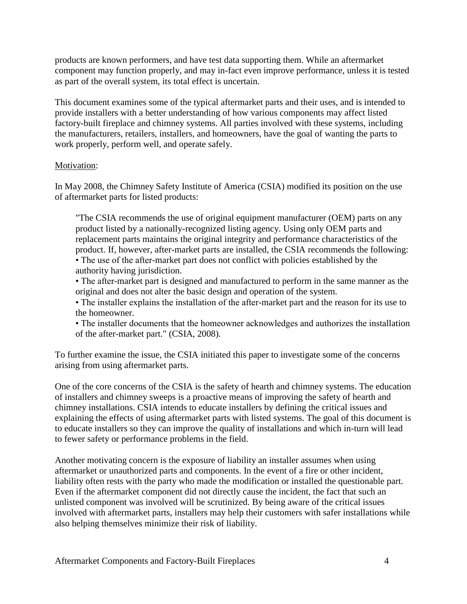products are known performers, and have test data supporting them. While an aftermarket component may function properly, and may in-fact even improve performance, unless it is tested as part of the overall system, its total effect is uncertain.

This document examines some of the typical aftermarket parts and their uses, and is intended to provide installers with a better understanding of how various components may affect listed factory-built fireplace and chimney systems. All parties involved with these systems, including the manufacturers, retailers, installers, and homeowners, have the goal of wanting the parts to work properly, perform well, and operate safely.

### Motivation:

In May 2008, the Chimney Safety Institute of America (CSIA) modified its position on the use of aftermarket parts for listed products:

"The CSIA recommends the use of original equipment manufacturer (OEM) parts on any product listed by a nationally-recognized listing agency. Using only OEM parts and replacement parts maintains the original integrity and performance characteristics of the product. If, however, after-market parts are installed, the CSIA recommends the following: • The use of the after-market part does not conflict with policies established by the authority having jurisdiction.

• The after-market part is designed and manufactured to perform in the same manner as the original and does not alter the basic design and operation of the system.

• The installer explains the installation of the after-market part and the reason for its use to the homeowner.

• The installer documents that the homeowner acknowledges and authorizes the installation of the after-market part." (CSIA, 2008).

To further examine the issue, the CSIA initiated this paper to investigate some of the concerns arising from using aftermarket parts.

One of the core concerns of the CSIA is the safety of hearth and chimney systems. The education of installers and chimney sweeps is a proactive means of improving the safety of hearth and chimney installations. CSIA intends to educate installers by defining the critical issues and explaining the effects of using aftermarket parts with listed systems. The goal of this document is to educate installers so they can improve the quality of installations and which in-turn will lead to fewer safety or performance problems in the field.

Another motivating concern is the exposure of liability an installer assumes when using aftermarket or unauthorized parts and components. In the event of a fire or other incident, liability often rests with the party who made the modification or installed the questionable part. Even if the aftermarket component did not directly cause the incident, the fact that such an unlisted component was involved will be scrutinized. By being aware of the critical issues involved with aftermarket parts, installers may help their customers with safer installations while also helping themselves minimize their risk of liability.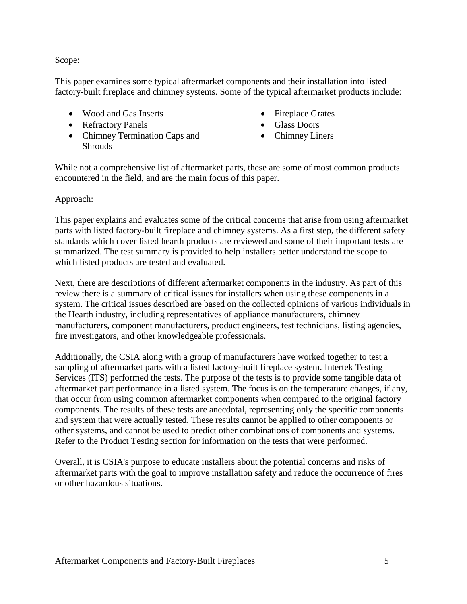### Scope:

This paper examines some typical aftermarket components and their installation into listed factory-built fireplace and chimney systems. Some of the typical aftermarket products include:

- Wood and Gas Inserts
- Refractory Panels
- Chimney Termination Caps and Shrouds
- Fireplace Grates
- Glass Doors
- Chimney Liners

While not a comprehensive list of aftermarket parts, these are some of most common products encountered in the field, and are the main focus of this paper.

### Approach:

This paper explains and evaluates some of the critical concerns that arise from using aftermarket parts with listed factory-built fireplace and chimney systems. As a first step, the different safety standards which cover listed hearth products are reviewed and some of their important tests are summarized. The test summary is provided to help installers better understand the scope to which listed products are tested and evaluated.

Next, there are descriptions of different aftermarket components in the industry. As part of this review there is a summary of critical issues for installers when using these components in a system. The critical issues described are based on the collected opinions of various individuals in the Hearth industry, including representatives of appliance manufacturers, chimney manufacturers, component manufacturers, product engineers, test technicians, listing agencies, fire investigators, and other knowledgeable professionals.

Additionally, the CSIA along with a group of manufacturers have worked together to test a sampling of aftermarket parts with a listed factory-built fireplace system. Intertek Testing Services (ITS) performed the tests. The purpose of the tests is to provide some tangible data of aftermarket part performance in a listed system. The focus is on the temperature changes, if any, that occur from using common aftermarket components when compared to the original factory components. The results of these tests are anecdotal, representing only the specific components and system that were actually tested. These results cannot be applied to other components or other systems, and cannot be used to predict other combinations of components and systems. Refer to the Product Testing section for information on the tests that were performed.

Overall, it is CSIA's purpose to educate installers about the potential concerns and risks of aftermarket parts with the goal to improve installation safety and reduce the occurrence of fires or other hazardous situations.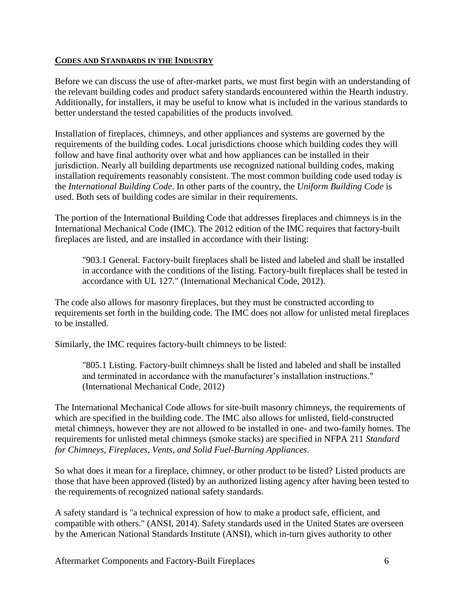#### **CODES AND STANDARDS IN THE INDUSTRY**

Before we can discuss the use of after-market parts, we must first begin with an understanding of the relevant building codes and product safety standards encountered within the Hearth industry. Additionally, for installers, it may be useful to know what is included in the various standards to better understand the tested capabilities of the products involved.

Installation of fireplaces, chimneys, and other appliances and systems are governed by the requirements of the building codes. Local jurisdictions choose which building codes they will follow and have final authority over what and how appliances can be installed in their jurisdiction. Nearly all building departments use recognized national building codes, making installation requirements reasonably consistent. The most common building code used today is the *International Building Code*. In other parts of the country, the *Uniform Building Code* is used. Both sets of building codes are similar in their requirements.

The portion of the International Building Code that addresses fireplaces and chimneys is in the International Mechanical Code (IMC). The 2012 edition of the IMC requires that factory-built fireplaces are listed, and are installed in accordance with their listing:

"903.1 General. Factory-built fireplaces shall be listed and labeled and shall be installed in accordance with the conditions of the listing. Factory-built fireplaces shall be tested in accordance with UL 127." (International Mechanical Code, 2012).

The code also allows for masonry fireplaces, but they must be constructed according to requirements set forth in the building code. The IMC does not allow for unlisted metal fireplaces to be installed.

Similarly, the IMC requires factory-built chimneys to be listed:

"805.1 Listing. Factory-built chimneys shall be listed and labeled and shall be installed and terminated in accordance with the manufacturer's installation instructions." (International Mechanical Code, 2012)

The International Mechanical Code allows for site-built masonry chimneys, the requirements of which are specified in the building code. The IMC also allows for unlisted, field-constructed metal chimneys, however they are not allowed to be installed in one- and two-family homes. The requirements for unlisted metal chimneys (smoke stacks) are specified in NFPA 211 *Standard for Chimneys, Fireplaces, Vents, and Solid Fuel-Burning Appliances*.

So what does it mean for a fireplace, chimney, or other product to be listed? Listed products are those that have been approved (listed) by an authorized listing agency after having been tested to the requirements of recognized national safety standards.

A safety standard is "a technical expression of how to make a product safe, efficient, and compatible with others." (ANSI, 2014). Safety standards used in the United States are overseen by the American National Standards Institute (ANSI), which in-turn gives authority to other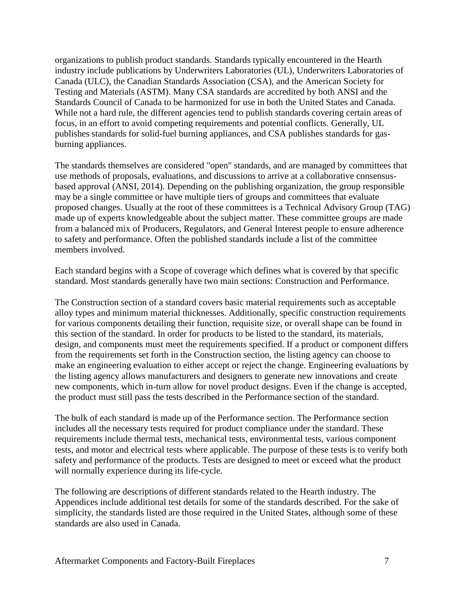organizations to publish product standards. Standards typically encountered in the Hearth industry include publications by Underwriters Laboratories (UL), Underwriters Laboratories of Canada (ULC), the Canadian Standards Association (CSA), and the American Society for Testing and Materials (ASTM). Many CSA standards are accredited by both ANSI and the Standards Council of Canada to be harmonized for use in both the United States and Canada. While not a hard rule, the different agencies tend to publish standards covering certain areas of focus, in an effort to avoid competing requirements and potential conflicts. Generally, UL publishes standards for solid-fuel burning appliances, and CSA publishes standards for gasburning appliances.

The standards themselves are considered "open" standards, and are managed by committees that use methods of proposals, evaluations, and discussions to arrive at a collaborative consensusbased approval (ANSI, 2014). Depending on the publishing organization, the group responsible may be a single committee or have multiple tiers of groups and committees that evaluate proposed changes. Usually at the root of these committees is a Technical Advisory Group (TAG) made up of experts knowledgeable about the subject matter. These committee groups are made from a balanced mix of Producers, Regulators, and General Interest people to ensure adherence to safety and performance. Often the published standards include a list of the committee members involved.

Each standard begins with a Scope of coverage which defines what is covered by that specific standard. Most standards generally have two main sections: Construction and Performance.

The Construction section of a standard covers basic material requirements such as acceptable alloy types and minimum material thicknesses. Additionally, specific construction requirements for various components detailing their function, requisite size, or overall shape can be found in this section of the standard. In order for products to be listed to the standard, its materials, design, and components must meet the requirements specified. If a product or component differs from the requirements set forth in the Construction section, the listing agency can choose to make an engineering evaluation to either accept or reject the change. Engineering evaluations by the listing agency allows manufacturers and designers to generate new innovations and create new components, which in-turn allow for novel product designs. Even if the change is accepted, the product must still pass the tests described in the Performance section of the standard.

The bulk of each standard is made up of the Performance section. The Performance section includes all the necessary tests required for product compliance under the standard. These requirements include thermal tests, mechanical tests, environmental tests, various component tests, and motor and electrical tests where applicable. The purpose of these tests is to verify both safety and performance of the products. Tests are designed to meet or exceed what the product will normally experience during its life-cycle.

The following are descriptions of different standards related to the Hearth industry. The Appendices include additional test details for some of the standards described. For the sake of simplicity, the standards listed are those required in the United States, although some of these standards are also used in Canada.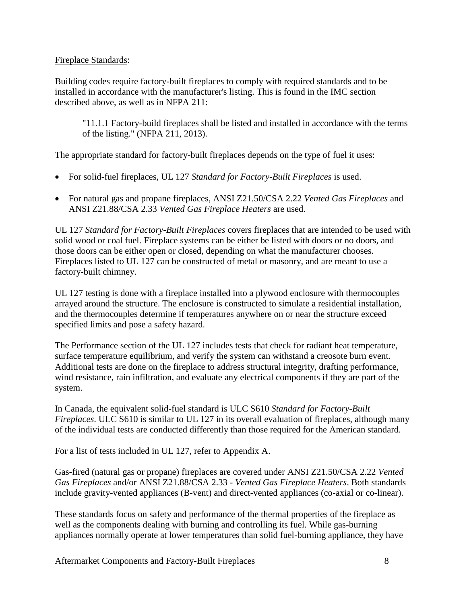### Fireplace Standards:

Building codes require factory-built fireplaces to comply with required standards and to be installed in accordance with the manufacturer's listing. This is found in the IMC section described above, as well as in NFPA 211:

"11.1.1 Factory-build fireplaces shall be listed and installed in accordance with the terms of the listing." (NFPA 211, 2013).

The appropriate standard for factory-built fireplaces depends on the type of fuel it uses:

- For solid-fuel fireplaces, UL 127 *Standard for Factory-Built Fireplaces* is used.
- For natural gas and propane fireplaces, ANSI Z21.50/CSA 2.22 *Vented Gas Fireplaces* and ANSI Z21.88/CSA 2.33 *Vented Gas Fireplace Heaters* are used.

UL 127 *Standard for Factory-Built Fireplaces* covers fireplaces that are intended to be used with solid wood or coal fuel. Fireplace systems can be either be listed with doors or no doors, and those doors can be either open or closed, depending on what the manufacturer chooses. Fireplaces listed to UL 127 can be constructed of metal or masonry, and are meant to use a factory-built chimney.

UL 127 testing is done with a fireplace installed into a plywood enclosure with thermocouples arrayed around the structure. The enclosure is constructed to simulate a residential installation, and the thermocouples determine if temperatures anywhere on or near the structure exceed specified limits and pose a safety hazard.

The Performance section of the UL 127 includes tests that check for radiant heat temperature, surface temperature equilibrium, and verify the system can withstand a creosote burn event. Additional tests are done on the fireplace to address structural integrity, drafting performance, wind resistance, rain infiltration, and evaluate any electrical components if they are part of the system.

In Canada, the equivalent solid-fuel standard is ULC S610 *Standard for Factory-Built Fireplaces*. ULC S610 is similar to UL 127 in its overall evaluation of fireplaces, although many of the individual tests are conducted differently than those required for the American standard.

For a list of tests included in UL 127, refer to Appendix A.

Gas-fired (natural gas or propane) fireplaces are covered under ANSI Z21.50/CSA 2.22 *Vented Gas Fireplaces* and/or ANSI Z21.88/CSA 2.33 - *Vented Gas Fireplace Heaters*. Both standards include gravity-vented appliances (B-vent) and direct-vented appliances (co-axial or co-linear).

These standards focus on safety and performance of the thermal properties of the fireplace as well as the components dealing with burning and controlling its fuel. While gas-burning appliances normally operate at lower temperatures than solid fuel-burning appliance, they have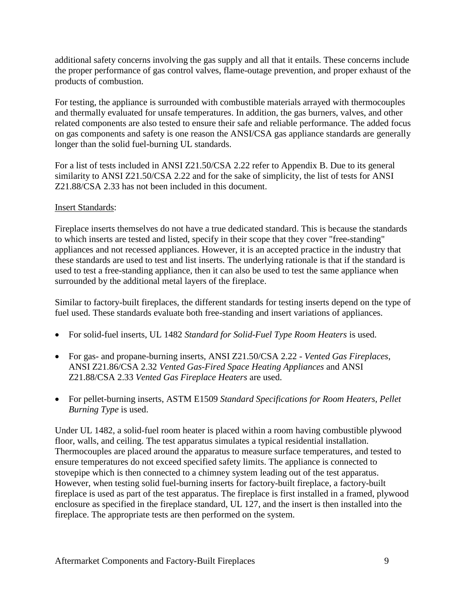additional safety concerns involving the gas supply and all that it entails. These concerns include the proper performance of gas control valves, flame-outage prevention, and proper exhaust of the products of combustion.

For testing, the appliance is surrounded with combustible materials arrayed with thermocouples and thermally evaluated for unsafe temperatures. In addition, the gas burners, valves, and other related components are also tested to ensure their safe and reliable performance. The added focus on gas components and safety is one reason the ANSI/CSA gas appliance standards are generally longer than the solid fuel-burning UL standards.

For a list of tests included in ANSI Z21.50/CSA 2.22 refer to Appendix B. Due to its general similarity to ANSI Z21.50/CSA 2.22 and for the sake of simplicity, the list of tests for ANSI Z21.88/CSA 2.33 has not been included in this document.

### Insert Standards:

Fireplace inserts themselves do not have a true dedicated standard. This is because the standards to which inserts are tested and listed, specify in their scope that they cover "free-standing" appliances and not recessed appliances. However, it is an accepted practice in the industry that these standards are used to test and list inserts. The underlying rationale is that if the standard is used to test a free-standing appliance, then it can also be used to test the same appliance when surrounded by the additional metal layers of the fireplace.

Similar to factory-built fireplaces, the different standards for testing inserts depend on the type of fuel used. These standards evaluate both free-standing and insert variations of appliances.

- For solid-fuel inserts, UL 1482 *Standard for Solid-Fuel Type Room Heaters* is used.
- For gas- and propane-burning inserts, ANSI Z21.50/CSA 2.22 *Vented Gas Fireplaces*, ANSI Z21.86/CSA 2.32 *Vented Gas-Fired Space Heating Appliances* and ANSI Z21.88/CSA 2.33 *Vented Gas Fireplace Heaters* are used.
- For pellet-burning inserts, ASTM E1509 *Standard Specifications for Room Heaters, Pellet Burning Type* is used.

Under UL 1482, a solid-fuel room heater is placed within a room having combustible plywood floor, walls, and ceiling. The test apparatus simulates a typical residential installation. Thermocouples are placed around the apparatus to measure surface temperatures, and tested to ensure temperatures do not exceed specified safety limits. The appliance is connected to stovepipe which is then connected to a chimney system leading out of the test apparatus. However, when testing solid fuel-burning inserts for factory-built fireplace, a factory-built fireplace is used as part of the test apparatus. The fireplace is first installed in a framed, plywood enclosure as specified in the fireplace standard, UL 127, and the insert is then installed into the fireplace. The appropriate tests are then performed on the system.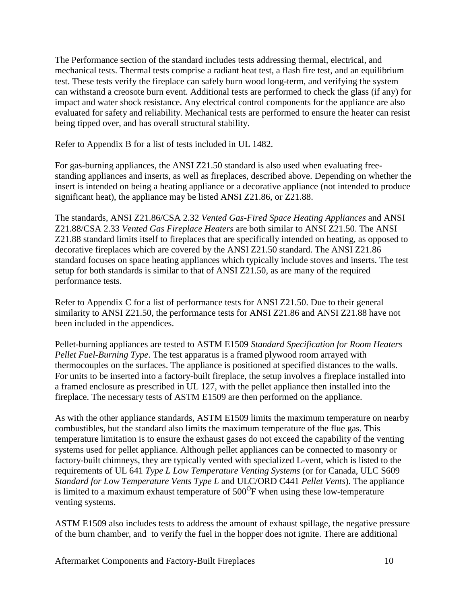The Performance section of the standard includes tests addressing thermal, electrical, and mechanical tests. Thermal tests comprise a radiant heat test, a flash fire test, and an equilibrium test. These tests verify the fireplace can safely burn wood long-term, and verifying the system can withstand a creosote burn event. Additional tests are performed to check the glass (if any) for impact and water shock resistance. Any electrical control components for the appliance are also evaluated for safety and reliability. Mechanical tests are performed to ensure the heater can resist being tipped over, and has overall structural stability.

Refer to Appendix B for a list of tests included in UL 1482.

For gas-burning appliances, the ANSI Z21.50 standard is also used when evaluating freestanding appliances and inserts, as well as fireplaces, described above. Depending on whether the insert is intended on being a heating appliance or a decorative appliance (not intended to produce significant heat), the appliance may be listed ANSI Z21.86, or Z21.88.

The standards, ANSI Z21.86/CSA 2.32 *Vented Gas-Fired Space Heating Appliances* and ANSI Z21.88/CSA 2.33 *Vented Gas Fireplace Heaters* are both similar to ANSI Z21.50. The ANSI Z21.88 standard limits itself to fireplaces that are specifically intended on heating, as opposed to decorative fireplaces which are covered by the ANSI Z21.50 standard. The ANSI Z21.86 standard focuses on space heating appliances which typically include stoves and inserts. The test setup for both standards is similar to that of ANSI Z21.50, as are many of the required performance tests.

Refer to Appendix C for a list of performance tests for ANSI Z21.50. Due to their general similarity to ANSI Z21.50, the performance tests for ANSI Z21.86 and ANSI Z21.88 have not been included in the appendices.

Pellet-burning appliances are tested to ASTM E1509 *Standard Specification for Room Heaters Pellet Fuel-Burning Type*. The test apparatus is a framed plywood room arrayed with thermocouples on the surfaces. The appliance is positioned at specified distances to the walls. For units to be inserted into a factory-built fireplace, the setup involves a fireplace installed into a framed enclosure as prescribed in UL 127, with the pellet appliance then installed into the fireplace. The necessary tests of ASTM E1509 are then performed on the appliance.

As with the other appliance standards, ASTM E1509 limits the maximum temperature on nearby combustibles, but the standard also limits the maximum temperature of the flue gas. This temperature limitation is to ensure the exhaust gases do not exceed the capability of the venting systems used for pellet appliance. Although pellet appliances can be connected to masonry or factory-built chimneys, they are typically vented with specialized L-vent, which is listed to the requirements of UL 641 *Type L Low Temperature Venting Systems* (or for Canada, ULC S609 *Standard for Low Temperature Vents Type L* and ULC/ORD C441 *Pellet Vents*). The appliance is limited to a maximum exhaust temperature of  $500^{\circ}$ F when using these low-temperature venting systems.

ASTM E1509 also includes tests to address the amount of exhaust spillage, the negative pressure of the burn chamber, and to verify the fuel in the hopper does not ignite. There are additional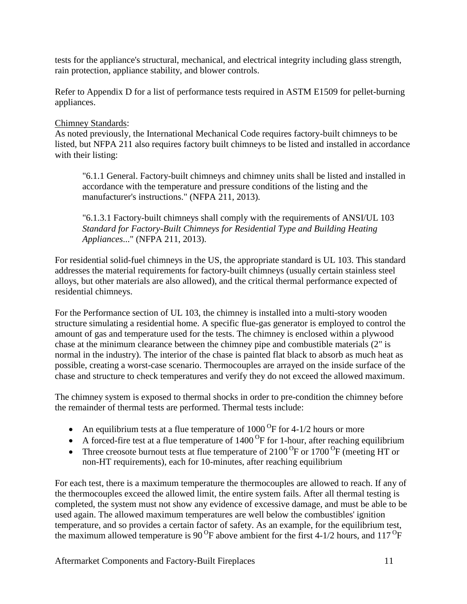tests for the appliance's structural, mechanical, and electrical integrity including glass strength, rain protection, appliance stability, and blower controls.

Refer to Appendix D for a list of performance tests required in ASTM E1509 for pellet-burning appliances.

## Chimney Standards:

As noted previously, the International Mechanical Code requires factory-built chimneys to be listed, but NFPA 211 also requires factory built chimneys to be listed and installed in accordance with their listing:

"6.1.1 General. Factory-built chimneys and chimney units shall be listed and installed in accordance with the temperature and pressure conditions of the listing and the manufacturer's instructions." (NFPA 211, 2013).

"6.1.3.1 Factory-built chimneys shall comply with the requirements of ANSI/UL 103 *Standard for Factory-Built Chimneys for Residential Type and Building Heating Appliances*..." (NFPA 211, 2013).

For residential solid-fuel chimneys in the US, the appropriate standard is UL 103. This standard addresses the material requirements for factory-built chimneys (usually certain stainless steel alloys, but other materials are also allowed), and the critical thermal performance expected of residential chimneys.

For the Performance section of UL 103, the chimney is installed into a multi-story wooden structure simulating a residential home. A specific flue-gas generator is employed to control the amount of gas and temperature used for the tests. The chimney is enclosed within a plywood chase at the minimum clearance between the chimney pipe and combustible materials (2" is normal in the industry). The interior of the chase is painted flat black to absorb as much heat as possible, creating a worst-case scenario. Thermocouples are arrayed on the inside surface of the chase and structure to check temperatures and verify they do not exceed the allowed maximum.

The chimney system is exposed to thermal shocks in order to pre-condition the chimney before the remainder of thermal tests are performed. Thermal tests include:

- An equilibrium tests at a flue temperature of  $1000^{\circ}$ F for 4-1/2 hours or more
- A forced-fire test at a flue temperature of  $1400^{\circ}$ F for 1-hour, after reaching equilibrium
- Three creosote burnout tests at flue temperature of  $2100\text{ °F}$  or  $1700\text{ °F}$  (meeting HT or non-HT requirements), each for 10-minutes, after reaching equilibrium

For each test, there is a maximum temperature the thermocouples are allowed to reach. If any of the thermocouples exceed the allowed limit, the entire system fails. After all thermal testing is completed, the system must not show any evidence of excessive damage, and must be able to be used again. The allowed maximum temperatures are well below the combustibles' ignition temperature, and so provides a certain factor of safety. As an example, for the equilibrium test, the maximum allowed temperature is 90<sup>°</sup>F above ambient for the first 4-1/2 hours, and 117<sup>°</sup>F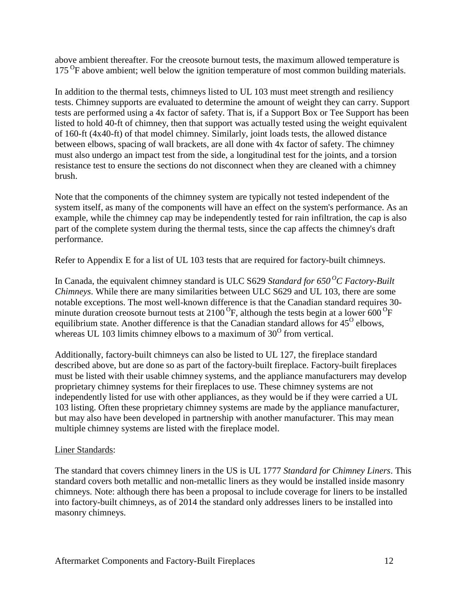above ambient thereafter. For the creosote burnout tests, the maximum allowed temperature is 175<sup>O</sup>F above ambient; well below the ignition temperature of most common building materials.

In addition to the thermal tests, chimneys listed to UL 103 must meet strength and resiliency tests. Chimney supports are evaluated to determine the amount of weight they can carry. Support tests are performed using a 4x factor of safety. That is, if a Support Box or Tee Support has been listed to hold 40-ft of chimney, then that support was actually tested using the weight equivalent of 160-ft (4x40-ft) of that model chimney. Similarly, joint loads tests, the allowed distance between elbows, spacing of wall brackets, are all done with 4x factor of safety. The chimney must also undergo an impact test from the side, a longitudinal test for the joints, and a torsion resistance test to ensure the sections do not disconnect when they are cleaned with a chimney brush.

Note that the components of the chimney system are typically not tested independent of the system itself, as many of the components will have an effect on the system's performance. As an example, while the chimney cap may be independently tested for rain infiltration, the cap is also part of the complete system during the thermal tests, since the cap affects the chimney's draft performance.

Refer to Appendix E for a list of UL 103 tests that are required for factory-built chimneys.

In Canada, the equivalent chimney standard is ULC S629 *Standard for 650 <sup>O</sup>C Factory-Built Chimneys*. While there are many similarities between ULC S629 and UL 103, there are some notable exceptions. The most well-known difference is that the Canadian standard requires 30 minute duration creosote burnout tests at 2100  ${}^{0}F$ , although the tests begin at a lower 600  ${}^{0}F$ equilibrium state. Another difference is that the Canadian standard allows for  $45^{\circ}$  elbows, whereas UL 103 limits chimney elbows to a maximum of  $30^{\circ}$  from vertical.

Additionally, factory-built chimneys can also be listed to UL 127, the fireplace standard described above, but are done so as part of the factory-built fireplace. Factory-built fireplaces must be listed with their usable chimney systems, and the appliance manufacturers may develop proprietary chimney systems for their fireplaces to use. These chimney systems are not independently listed for use with other appliances, as they would be if they were carried a UL 103 listing. Often these proprietary chimney systems are made by the appliance manufacturer, but may also have been developed in partnership with another manufacturer. This may mean multiple chimney systems are listed with the fireplace model.

## Liner Standards:

The standard that covers chimney liners in the US is UL 1777 *Standard for Chimney Liners*. This standard covers both metallic and non-metallic liners as they would be installed inside masonry chimneys. Note: although there has been a proposal to include coverage for liners to be installed into factory-built chimneys, as of 2014 the standard only addresses liners to be installed into masonry chimneys.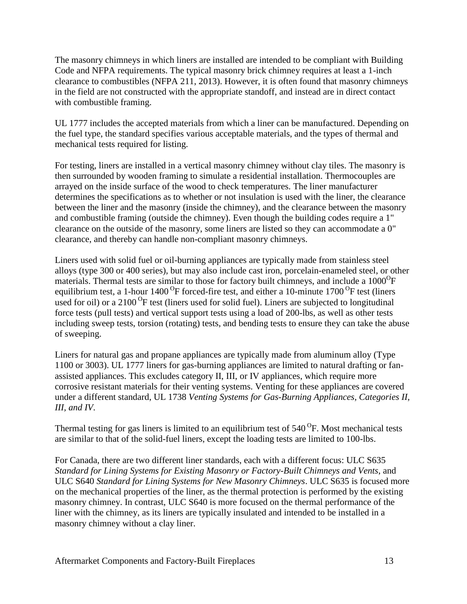The masonry chimneys in which liners are installed are intended to be compliant with Building Code and NFPA requirements. The typical masonry brick chimney requires at least a 1-inch clearance to combustibles (NFPA 211, 2013). However, it is often found that masonry chimneys in the field are not constructed with the appropriate standoff, and instead are in direct contact with combustible framing.

UL 1777 includes the accepted materials from which a liner can be manufactured. Depending on the fuel type, the standard specifies various acceptable materials, and the types of thermal and mechanical tests required for listing.

For testing, liners are installed in a vertical masonry chimney without clay tiles. The masonry is then surrounded by wooden framing to simulate a residential installation. Thermocouples are arrayed on the inside surface of the wood to check temperatures. The liner manufacturer determines the specifications as to whether or not insulation is used with the liner, the clearance between the liner and the masonry (inside the chimney), and the clearance between the masonry and combustible framing (outside the chimney). Even though the building codes require a 1" clearance on the outside of the masonry, some liners are listed so they can accommodate a 0" clearance, and thereby can handle non-compliant masonry chimneys.

Liners used with solid fuel or oil-burning appliances are typically made from stainless steel alloys (type 300 or 400 series), but may also include cast iron, porcelain-enameled steel, or other materials. Thermal tests are similar to those for factory built chimneys, and include a 1000<sup>°</sup>F equilibrium test, a 1-hour 1400<sup>o</sup>F forced-fire test, and either a 10-minute 1700<sup>o</sup>F test (liners used for oil) or a 2100<sup>O</sup>F test (liners used for solid fuel). Liners are subjected to longitudinal force tests (pull tests) and vertical support tests using a load of 200-lbs, as well as other tests including sweep tests, torsion (rotating) tests, and bending tests to ensure they can take the abuse of sweeping.

Liners for natural gas and propane appliances are typically made from aluminum alloy (Type 1100 or 3003). UL 1777 liners for gas-burning appliances are limited to natural drafting or fanassisted appliances. This excludes category II, III, or IV appliances, which require more corrosive resistant materials for their venting systems. Venting for these appliances are covered under a different standard, UL 1738 *Venting Systems for Gas-Burning Appliances, Categories II, III, and IV*.

Thermal testing for gas liners is limited to an equilibrium test of  $540^{\circ}$ F. Most mechanical tests are similar to that of the solid-fuel liners, except the loading tests are limited to 100-lbs.

For Canada, there are two different liner standards, each with a different focus: ULC S635 *Standard for Lining Systems for Existing Masonry or Factory-Built Chimneys and Vents*, and ULC S640 *Standard for Lining Systems for New Masonry Chimneys*. ULC S635 is focused more on the mechanical properties of the liner, as the thermal protection is performed by the existing masonry chimney. In contrast, ULC S640 is more focused on the thermal performance of the liner with the chimney, as its liners are typically insulated and intended to be installed in a masonry chimney without a clay liner.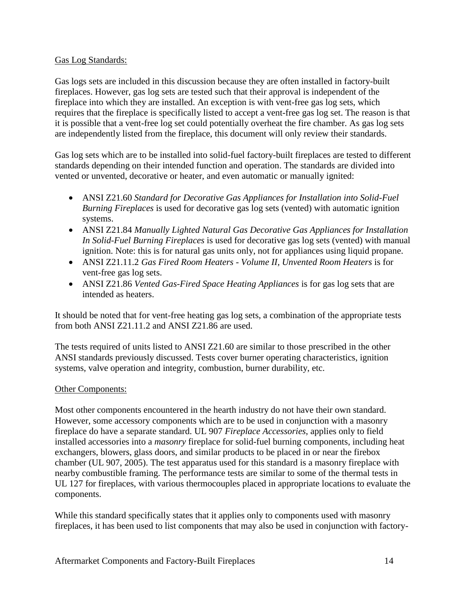#### Gas Log Standards:

Gas logs sets are included in this discussion because they are often installed in factory-built fireplaces. However, gas log sets are tested such that their approval is independent of the fireplace into which they are installed. An exception is with vent-free gas log sets, which requires that the fireplace is specifically listed to accept a vent-free gas log set. The reason is that it is possible that a vent-free log set could potentially overheat the fire chamber. As gas log sets are independently listed from the fireplace, this document will only review their standards.

Gas log sets which are to be installed into solid-fuel factory-built fireplaces are tested to different standards depending on their intended function and operation. The standards are divided into vented or unvented, decorative or heater, and even automatic or manually ignited:

- ANSI Z21.60 *Standard for Decorative Gas Appliances for Installation into Solid-Fuel Burning Fireplaces* is used for decorative gas log sets (vented) with automatic ignition systems.
- ANSI Z21.84 *Manually Lighted Natural Gas Decorative Gas Appliances for Installation In Solid-Fuel Burning Fireplaces* is used for decorative gas log sets (vented) with manual ignition. Note: this is for natural gas units only, not for appliances using liquid propane.
- ANSI Z21.11.2 *Gas Fired Room Heaters - Volume II, Unvented Room Heaters* is for vent-free gas log sets.
- ANSI Z21.86 *Vented Gas-Fired Space Heating Appliances* is for gas log sets that are intended as heaters.

It should be noted that for vent-free heating gas log sets, a combination of the appropriate tests from both ANSI Z21.11.2 and ANSI Z21.86 are used.

The tests required of units listed to ANSI Z21.60 are similar to those prescribed in the other ANSI standards previously discussed. Tests cover burner operating characteristics, ignition systems, valve operation and integrity, combustion, burner durability, etc.

## Other Components:

Most other components encountered in the hearth industry do not have their own standard. However, some accessory components which are to be used in conjunction with a masonry fireplace do have a separate standard. UL 907 *Fireplace Accessories*, applies only to field installed accessories into a *masonry* fireplace for solid-fuel burning components, including heat exchangers, blowers, glass doors, and similar products to be placed in or near the firebox chamber (UL 907, 2005). The test apparatus used for this standard is a masonry fireplace with nearby combustible framing. The performance tests are similar to some of the thermal tests in UL 127 for fireplaces, with various thermocouples placed in appropriate locations to evaluate the components.

While this standard specifically states that it applies only to components used with masonry fireplaces, it has been used to list components that may also be used in conjunction with factory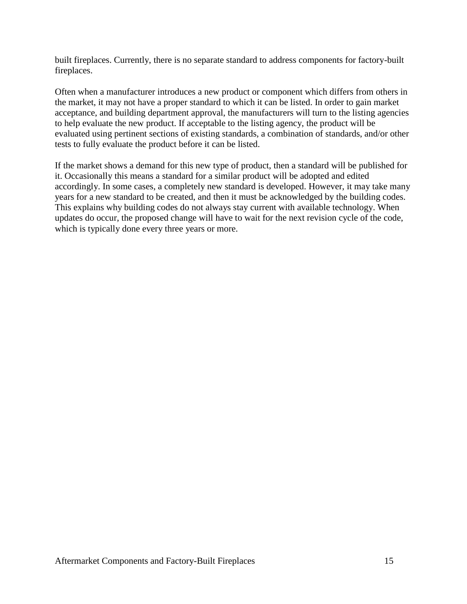built fireplaces. Currently, there is no separate standard to address components for factory-built fireplaces.

Often when a manufacturer introduces a new product or component which differs from others in the market, it may not have a proper standard to which it can be listed. In order to gain market acceptance, and building department approval, the manufacturers will turn to the listing agencies to help evaluate the new product. If acceptable to the listing agency, the product will be evaluated using pertinent sections of existing standards, a combination of standards, and/or other tests to fully evaluate the product before it can be listed.

If the market shows a demand for this new type of product, then a standard will be published for it. Occasionally this means a standard for a similar product will be adopted and edited accordingly. In some cases, a completely new standard is developed. However, it may take many years for a new standard to be created, and then it must be acknowledged by the building codes. This explains why building codes do not always stay current with available technology. When updates do occur, the proposed change will have to wait for the next revision cycle of the code, which is typically done every three years or more.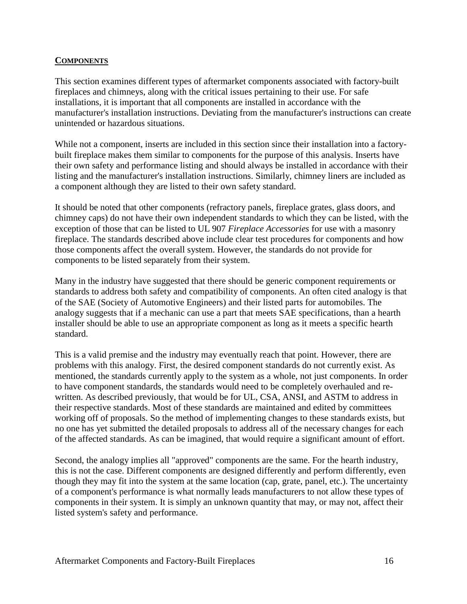### **COMPONENTS**

This section examines different types of aftermarket components associated with factory-built fireplaces and chimneys, along with the critical issues pertaining to their use. For safe installations, it is important that all components are installed in accordance with the manufacturer's installation instructions. Deviating from the manufacturer's instructions can create unintended or hazardous situations.

While not a component, inserts are included in this section since their installation into a factorybuilt fireplace makes them similar to components for the purpose of this analysis. Inserts have their own safety and performance listing and should always be installed in accordance with their listing and the manufacturer's installation instructions. Similarly, chimney liners are included as a component although they are listed to their own safety standard.

It should be noted that other components (refractory panels, fireplace grates, glass doors, and chimney caps) do not have their own independent standards to which they can be listed, with the exception of those that can be listed to UL 907 *Fireplace Accessories* for use with a masonry fireplace. The standards described above include clear test procedures for components and how those components affect the overall system. However, the standards do not provide for components to be listed separately from their system.

Many in the industry have suggested that there should be generic component requirements or standards to address both safety and compatibility of components. An often cited analogy is that of the SAE (Society of Automotive Engineers) and their listed parts for automobiles. The analogy suggests that if a mechanic can use a part that meets SAE specifications, than a hearth installer should be able to use an appropriate component as long as it meets a specific hearth standard.

This is a valid premise and the industry may eventually reach that point. However, there are problems with this analogy. First, the desired component standards do not currently exist. As mentioned, the standards currently apply to the system as a whole, not just components. In order to have component standards, the standards would need to be completely overhauled and rewritten. As described previously, that would be for UL, CSA, ANSI, and ASTM to address in their respective standards. Most of these standards are maintained and edited by committees working off of proposals. So the method of implementing changes to these standards exists, but no one has yet submitted the detailed proposals to address all of the necessary changes for each of the affected standards. As can be imagined, that would require a significant amount of effort.

Second, the analogy implies all "approved" components are the same. For the hearth industry, this is not the case. Different components are designed differently and perform differently, even though they may fit into the system at the same location (cap, grate, panel, etc.). The uncertainty of a component's performance is what normally leads manufacturers to not allow these types of components in their system. It is simply an unknown quantity that may, or may not, affect their listed system's safety and performance.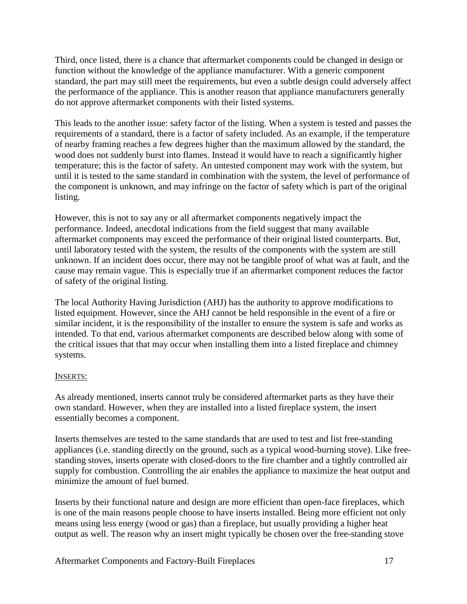Third, once listed, there is a chance that aftermarket components could be changed in design or function without the knowledge of the appliance manufacturer. With a generic component standard, the part may still meet the requirements, but even a subtle design could adversely affect the performance of the appliance. This is another reason that appliance manufacturers generally do not approve aftermarket components with their listed systems.

This leads to the another issue: safety factor of the listing. When a system is tested and passes the requirements of a standard, there is a factor of safety included. As an example, if the temperature of nearby framing reaches a few degrees higher than the maximum allowed by the standard, the wood does not suddenly burst into flames. Instead it would have to reach a significantly higher temperature; this is the factor of safety. An untested component may work with the system, but until it is tested to the same standard in combination with the system, the level of performance of the component is unknown, and may infringe on the factor of safety which is part of the original listing.

However, this is not to say any or all aftermarket components negatively impact the performance. Indeed, anecdotal indications from the field suggest that many available aftermarket components may exceed the performance of their original listed counterparts. But, until laboratory tested with the system, the results of the components with the system are still unknown. If an incident does occur, there may not be tangible proof of what was at fault, and the cause may remain vague. This is especially true if an aftermarket component reduces the factor of safety of the original listing.

The local Authority Having Jurisdiction (AHJ) has the authority to approve modifications to listed equipment. However, since the AHJ cannot be held responsible in the event of a fire or similar incident, it is the responsibility of the installer to ensure the system is safe and works as intended. To that end, various aftermarket components are described below along with some of the critical issues that that may occur when installing them into a listed fireplace and chimney systems.

## INSERTS:

As already mentioned, inserts cannot truly be considered aftermarket parts as they have their own standard. However, when they are installed into a listed fireplace system, the insert essentially becomes a component.

Inserts themselves are tested to the same standards that are used to test and list free-standing appliances (i.e. standing directly on the ground, such as a typical wood-burning stove). Like freestanding stoves, inserts operate with closed-doors to the fire chamber and a tightly controlled air supply for combustion. Controlling the air enables the appliance to maximize the heat output and minimize the amount of fuel burned.

Inserts by their functional nature and design are more efficient than open-face fireplaces, which is one of the main reasons people choose to have inserts installed. Being more efficient not only means using less energy (wood or gas) than a fireplace, but usually providing a higher heat output as well. The reason why an insert might typically be chosen over the free-standing stove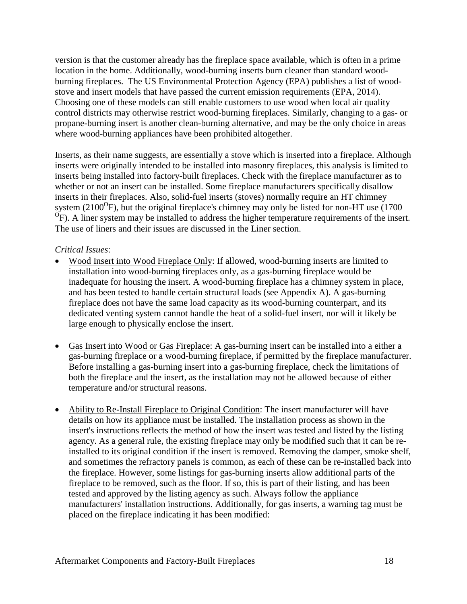version is that the customer already has the fireplace space available, which is often in a prime location in the home. Additionally, wood-burning inserts burn cleaner than standard woodburning fireplaces. The US Environmental Protection Agency (EPA) publishes a list of woodstove and insert models that have passed the current emission requirements (EPA, 2014). Choosing one of these models can still enable customers to use wood when local air quality control districts may otherwise restrict wood-burning fireplaces. Similarly, changing to a gas- or propane-burning insert is another clean-burning alternative, and may be the only choice in areas where wood-burning appliances have been prohibited altogether.

Inserts, as their name suggests, are essentially a stove which is inserted into a fireplace. Although inserts were originally intended to be installed into masonry fireplaces, this analysis is limited to inserts being installed into factory-built fireplaces. Check with the fireplace manufacturer as to whether or not an insert can be installed. Some fireplace manufacturers specifically disallow inserts in their fireplaces. Also, solid-fuel inserts (stoves) normally require an HT chimney system (2100 $\rm{^O}F$ ), but the original fireplace's chimney may only be listed for non-HT use (1700 <sup>O</sup>F). A liner system may be installed to address the higher temperature requirements of the insert. The use of liners and their issues are discussed in the Liner section.

## *Critical Issues*:

- Wood Insert into Wood Fireplace Only: If allowed, wood-burning inserts are limited to installation into wood-burning fireplaces only, as a gas-burning fireplace would be inadequate for housing the insert. A wood-burning fireplace has a chimney system in place, and has been tested to handle certain structural loads (see Appendix A). A gas-burning fireplace does not have the same load capacity as its wood-burning counterpart, and its dedicated venting system cannot handle the heat of a solid-fuel insert, nor will it likely be large enough to physically enclose the insert.
- Gas Insert into Wood or Gas Fireplace: A gas-burning insert can be installed into a either a gas-burning fireplace or a wood-burning fireplace, if permitted by the fireplace manufacturer. Before installing a gas-burning insert into a gas-burning fireplace, check the limitations of both the fireplace and the insert, as the installation may not be allowed because of either temperature and/or structural reasons.
- Ability to Re-Install Fireplace to Original Condition: The insert manufacturer will have details on how its appliance must be installed. The installation process as shown in the insert's instructions reflects the method of how the insert was tested and listed by the listing agency. As a general rule, the existing fireplace may only be modified such that it can be reinstalled to its original condition if the insert is removed. Removing the damper, smoke shelf, and sometimes the refractory panels is common, as each of these can be re-installed back into the fireplace. However, some listings for gas-burning inserts allow additional parts of the fireplace to be removed, such as the floor. If so, this is part of their listing, and has been tested and approved by the listing agency as such. Always follow the appliance manufacturers' installation instructions. Additionally, for gas inserts, a warning tag must be placed on the fireplace indicating it has been modified: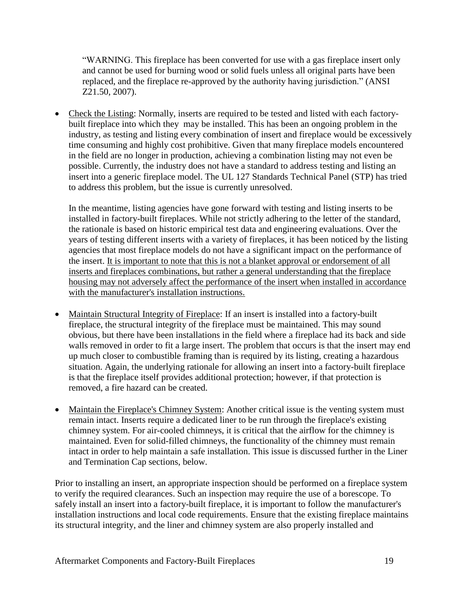"WARNING. This fireplace has been converted for use with a gas fireplace insert only and cannot be used for burning wood or solid fuels unless all original parts have been replaced, and the fireplace re-approved by the authority having jurisdiction." (ANSI Z21.50, 2007).

• Check the Listing: Normally, inserts are required to be tested and listed with each factorybuilt fireplace into which they may be installed. This has been an ongoing problem in the industry, as testing and listing every combination of insert and fireplace would be excessively time consuming and highly cost prohibitive. Given that many fireplace models encountered in the field are no longer in production, achieving a combination listing may not even be possible. Currently, the industry does not have a standard to address testing and listing an insert into a generic fireplace model. The UL 127 Standards Technical Panel (STP) has tried to address this problem, but the issue is currently unresolved.

In the meantime, listing agencies have gone forward with testing and listing inserts to be installed in factory-built fireplaces. While not strictly adhering to the letter of the standard, the rationale is based on historic empirical test data and engineering evaluations. Over the years of testing different inserts with a variety of fireplaces, it has been noticed by the listing agencies that most fireplace models do not have a significant impact on the performance of the insert. It is important to note that this is not a blanket approval or endorsement of all inserts and fireplaces combinations, but rather a general understanding that the fireplace housing may not adversely affect the performance of the insert when installed in accordance with the manufacturer's installation instructions.

- Maintain Structural Integrity of Fireplace: If an insert is installed into a factory-built fireplace, the structural integrity of the fireplace must be maintained. This may sound obvious, but there have been installations in the field where a fireplace had its back and side walls removed in order to fit a large insert. The problem that occurs is that the insert may end up much closer to combustible framing than is required by its listing, creating a hazardous situation. Again, the underlying rationale for allowing an insert into a factory-built fireplace is that the fireplace itself provides additional protection; however, if that protection is removed, a fire hazard can be created.
- Maintain the Fireplace's Chimney System: Another critical issue is the venting system must remain intact. Inserts require a dedicated liner to be run through the fireplace's existing chimney system. For air-cooled chimneys, it is critical that the airflow for the chimney is maintained. Even for solid-filled chimneys, the functionality of the chimney must remain intact in order to help maintain a safe installation. This issue is discussed further in the Liner and Termination Cap sections, below.

Prior to installing an insert, an appropriate inspection should be performed on a fireplace system to verify the required clearances. Such an inspection may require the use of a borescope. To safely install an insert into a factory-built fireplace, it is important to follow the manufacturer's installation instructions and local code requirements. Ensure that the existing fireplace maintains its structural integrity, and the liner and chimney system are also properly installed and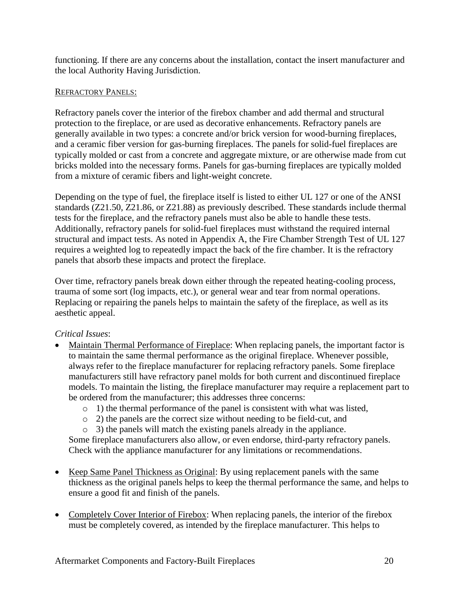functioning. If there are any concerns about the installation, contact the insert manufacturer and the local Authority Having Jurisdiction.

#### REFRACTORY PANELS:

Refractory panels cover the interior of the firebox chamber and add thermal and structural protection to the fireplace, or are used as decorative enhancements. Refractory panels are generally available in two types: a concrete and/or brick version for wood-burning fireplaces, and a ceramic fiber version for gas-burning fireplaces. The panels for solid-fuel fireplaces are typically molded or cast from a concrete and aggregate mixture, or are otherwise made from cut bricks molded into the necessary forms. Panels for gas-burning fireplaces are typically molded from a mixture of ceramic fibers and light-weight concrete.

Depending on the type of fuel, the fireplace itself is listed to either UL 127 or one of the ANSI standards (Z21.50, Z21.86, or Z21.88) as previously described. These standards include thermal tests for the fireplace, and the refractory panels must also be able to handle these tests. Additionally, refractory panels for solid-fuel fireplaces must withstand the required internal structural and impact tests. As noted in Appendix A, the Fire Chamber Strength Test of UL 127 requires a weighted log to repeatedly impact the back of the fire chamber. It is the refractory panels that absorb these impacts and protect the fireplace.

Over time, refractory panels break down either through the repeated heating-cooling process, trauma of some sort (log impacts, etc.), or general wear and tear from normal operations. Replacing or repairing the panels helps to maintain the safety of the fireplace, as well as its aesthetic appeal.

## *Critical Issues*:

- Maintain Thermal Performance of Fireplace: When replacing panels, the important factor is to maintain the same thermal performance as the original fireplace. Whenever possible, always refer to the fireplace manufacturer for replacing refractory panels. Some fireplace manufacturers still have refractory panel molds for both current and discontinued fireplace models. To maintain the listing, the fireplace manufacturer may require a replacement part to be ordered from the manufacturer; this addresses three concerns:
	- o 1) the thermal performance of the panel is consistent with what was listed,
	- o 2) the panels are the correct size without needing to be field-cut, and
	- o 3) the panels will match the existing panels already in the appliance.

Some fireplace manufacturers also allow, or even endorse, third-party refractory panels. Check with the appliance manufacturer for any limitations or recommendations.

- Keep Same Panel Thickness as Original: By using replacement panels with the same thickness as the original panels helps to keep the thermal performance the same, and helps to ensure a good fit and finish of the panels.
- Completely Cover Interior of Firebox: When replacing panels, the interior of the firebox must be completely covered, as intended by the fireplace manufacturer. This helps to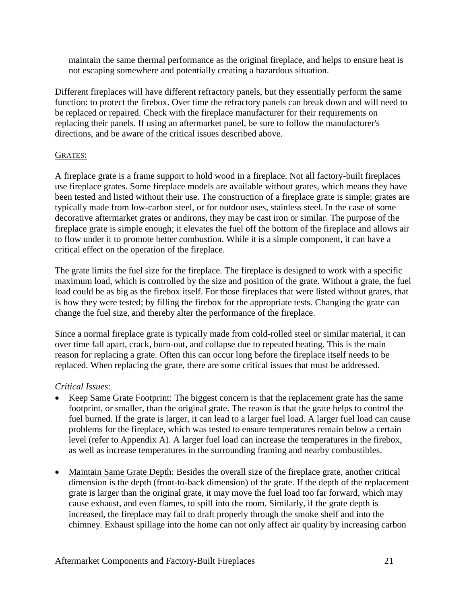maintain the same thermal performance as the original fireplace, and helps to ensure heat is not escaping somewhere and potentially creating a hazardous situation.

Different fireplaces will have different refractory panels, but they essentially perform the same function: to protect the firebox. Over time the refractory panels can break down and will need to be replaced or repaired. Check with the fireplace manufacturer for their requirements on replacing their panels. If using an aftermarket panel, be sure to follow the manufacturer's directions, and be aware of the critical issues described above.

### GRATES:

A fireplace grate is a frame support to hold wood in a fireplace. Not all factory-built fireplaces use fireplace grates. Some fireplace models are available without grates, which means they have been tested and listed without their use. The construction of a fireplace grate is simple; grates are typically made from low-carbon steel, or for outdoor uses, stainless steel. In the case of some decorative aftermarket grates or andirons, they may be cast iron or similar. The purpose of the fireplace grate is simple enough; it elevates the fuel off the bottom of the fireplace and allows air to flow under it to promote better combustion. While it is a simple component, it can have a critical effect on the operation of the fireplace.

The grate limits the fuel size for the fireplace. The fireplace is designed to work with a specific maximum load, which is controlled by the size and position of the grate. Without a grate, the fuel load could be as big as the firebox itself. For those fireplaces that were listed without grates, that is how they were tested; by filling the firebox for the appropriate tests. Changing the grate can change the fuel size, and thereby alter the performance of the fireplace.

Since a normal fireplace grate is typically made from cold-rolled steel or similar material, it can over time fall apart, crack, burn-out, and collapse due to repeated heating. This is the main reason for replacing a grate. Often this can occur long before the fireplace itself needs to be replaced. When replacing the grate, there are some critical issues that must be addressed.

## *Critical Issues:*

- Keep Same Grate Footprint: The biggest concern is that the replacement grate has the same footprint, or smaller, than the original grate. The reason is that the grate helps to control the fuel burned. If the grate is larger, it can lead to a larger fuel load. A larger fuel load can cause problems for the fireplace, which was tested to ensure temperatures remain below a certain level (refer to Appendix A). A larger fuel load can increase the temperatures in the firebox, as well as increase temperatures in the surrounding framing and nearby combustibles.
- Maintain Same Grate Depth: Besides the overall size of the fireplace grate, another critical dimension is the depth (front-to-back dimension) of the grate. If the depth of the replacement grate is larger than the original grate, it may move the fuel load too far forward, which may cause exhaust, and even flames, to spill into the room. Similarly, if the grate depth is increased, the fireplace may fail to draft properly through the smoke shelf and into the chimney. Exhaust spillage into the home can not only affect air quality by increasing carbon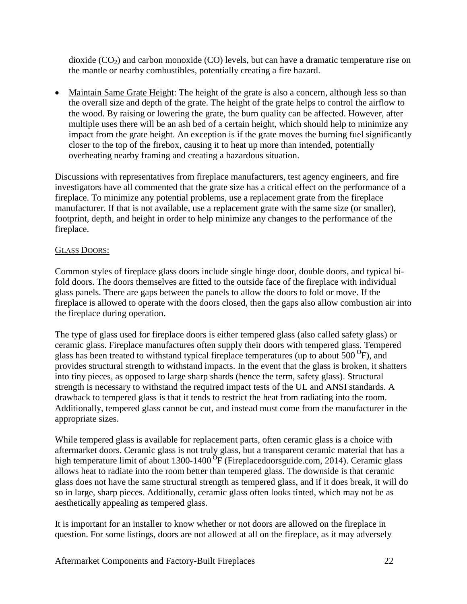dioxide  $(CO<sub>2</sub>)$  and carbon monoxide  $(CO)$  levels, but can have a dramatic temperature rise on the mantle or nearby combustibles, potentially creating a fire hazard.

• Maintain Same Grate Height: The height of the grate is also a concern, although less so than the overall size and depth of the grate. The height of the grate helps to control the airflow to the wood. By raising or lowering the grate, the burn quality can be affected. However, after multiple uses there will be an ash bed of a certain height, which should help to minimize any impact from the grate height. An exception is if the grate moves the burning fuel significantly closer to the top of the firebox, causing it to heat up more than intended, potentially overheating nearby framing and creating a hazardous situation.

Discussions with representatives from fireplace manufacturers, test agency engineers, and fire investigators have all commented that the grate size has a critical effect on the performance of a fireplace. To minimize any potential problems, use a replacement grate from the fireplace manufacturer. If that is not available, use a replacement grate with the same size (or smaller), footprint, depth, and height in order to help minimize any changes to the performance of the fireplace.

## GLASS DOORS:

Common styles of fireplace glass doors include single hinge door, double doors, and typical bifold doors. The doors themselves are fitted to the outside face of the fireplace with individual glass panels. There are gaps between the panels to allow the doors to fold or move. If the fireplace is allowed to operate with the doors closed, then the gaps also allow combustion air into the fireplace during operation.

The type of glass used for fireplace doors is either tempered glass (also called safety glass) or ceramic glass. Fireplace manufactures often supply their doors with tempered glass. Tempered glass has been treated to withstand typical fireplace temperatures (up to about  $\overline{500}^{\,0}$ F), and provides structural strength to withstand impacts. In the event that the glass is broken, it shatters into tiny pieces, as opposed to large sharp shards (hence the term, safety glass). Structural strength is necessary to withstand the required impact tests of the UL and ANSI standards. A drawback to tempered glass is that it tends to restrict the heat from radiating into the room. Additionally, tempered glass cannot be cut, and instead must come from the manufacturer in the appropriate sizes.

While tempered glass is available for replacement parts, often ceramic glass is a choice with aftermarket doors. Ceramic glass is not truly glass, but a transparent ceramic material that has a high temperature limit of about 1300-1400 $^{6}$ F (Fireplacedoorsguide.com, 2014). Ceramic glass allows heat to radiate into the room better than tempered glass. The downside is that ceramic glass does not have the same structural strength as tempered glass, and if it does break, it will do so in large, sharp pieces. Additionally, ceramic glass often looks tinted, which may not be as aesthetically appealing as tempered glass.

It is important for an installer to know whether or not doors are allowed on the fireplace in question. For some listings, doors are not allowed at all on the fireplace, as it may adversely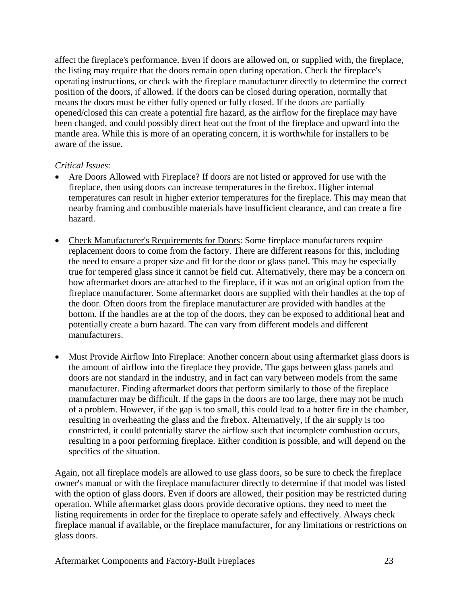affect the fireplace's performance. Even if doors are allowed on, or supplied with, the fireplace, the listing may require that the doors remain open during operation. Check the fireplace's operating instructions, or check with the fireplace manufacturer directly to determine the correct position of the doors, if allowed. If the doors can be closed during operation, normally that means the doors must be either fully opened or fully closed. If the doors are partially opened/closed this can create a potential fire hazard, as the airflow for the fireplace may have been changed, and could possibly direct heat out the front of the fireplace and upward into the mantle area. While this is more of an operating concern, it is worthwhile for installers to be aware of the issue.

## *Critical Issues:*

- Are Doors Allowed with Fireplace? If doors are not listed or approved for use with the fireplace, then using doors can increase temperatures in the firebox. Higher internal temperatures can result in higher exterior temperatures for the fireplace. This may mean that nearby framing and combustible materials have insufficient clearance, and can create a fire hazard.
- Check Manufacturer's Requirements for Doors: Some fireplace manufacturers require replacement doors to come from the factory. There are different reasons for this, including the need to ensure a proper size and fit for the door or glass panel. This may be especially true for tempered glass since it cannot be field cut. Alternatively, there may be a concern on how aftermarket doors are attached to the fireplace, if it was not an original option from the fireplace manufacturer. Some aftermarket doors are supplied with their handles at the top of the door. Often doors from the fireplace manufacturer are provided with handles at the bottom. If the handles are at the top of the doors, they can be exposed to additional heat and potentially create a burn hazard. The can vary from different models and different manufacturers.
- Must Provide Airflow Into Fireplace: Another concern about using aftermarket glass doors is the amount of airflow into the fireplace they provide. The gaps between glass panels and doors are not standard in the industry, and in fact can vary between models from the same manufacturer. Finding aftermarket doors that perform similarly to those of the fireplace manufacturer may be difficult. If the gaps in the doors are too large, there may not be much of a problem. However, if the gap is too small, this could lead to a hotter fire in the chamber, resulting in overheating the glass and the firebox. Alternatively, if the air supply is too constricted, it could potentially starve the airflow such that incomplete combustion occurs, resulting in a poor performing fireplace. Either condition is possible, and will depend on the specifics of the situation.

Again, not all fireplace models are allowed to use glass doors, so be sure to check the fireplace owner's manual or with the fireplace manufacturer directly to determine if that model was listed with the option of glass doors. Even if doors are allowed, their position may be restricted during operation. While aftermarket glass doors provide decorative options, they need to meet the listing requirements in order for the fireplace to operate safely and effectively. Always check fireplace manual if available, or the fireplace manufacturer, for any limitations or restrictions on glass doors.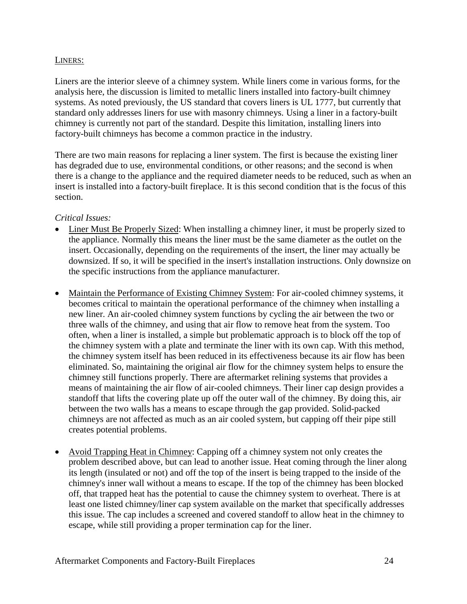#### LINERS:

Liners are the interior sleeve of a chimney system. While liners come in various forms, for the analysis here, the discussion is limited to metallic liners installed into factory-built chimney systems. As noted previously, the US standard that covers liners is UL 1777, but currently that standard only addresses liners for use with masonry chimneys. Using a liner in a factory-built chimney is currently not part of the standard. Despite this limitation, installing liners into factory-built chimneys has become a common practice in the industry.

There are two main reasons for replacing a liner system. The first is because the existing liner has degraded due to use, environmental conditions, or other reasons; and the second is when there is a change to the appliance and the required diameter needs to be reduced, such as when an insert is installed into a factory-built fireplace. It is this second condition that is the focus of this section.

### *Critical Issues:*

- Liner Must Be Properly Sized: When installing a chimney liner, it must be properly sized to the appliance. Normally this means the liner must be the same diameter as the outlet on the insert. Occasionally, depending on the requirements of the insert, the liner may actually be downsized. If so, it will be specified in the insert's installation instructions. Only downsize on the specific instructions from the appliance manufacturer.
- Maintain the Performance of Existing Chimney System: For air-cooled chimney systems, it becomes critical to maintain the operational performance of the chimney when installing a new liner. An air-cooled chimney system functions by cycling the air between the two or three walls of the chimney, and using that air flow to remove heat from the system. Too often, when a liner is installed, a simple but problematic approach is to block off the top of the chimney system with a plate and terminate the liner with its own cap. With this method, the chimney system itself has been reduced in its effectiveness because its air flow has been eliminated. So, maintaining the original air flow for the chimney system helps to ensure the chimney still functions properly. There are aftermarket relining systems that provides a means of maintaining the air flow of air-cooled chimneys. Their liner cap design provides a standoff that lifts the covering plate up off the outer wall of the chimney. By doing this, air between the two walls has a means to escape through the gap provided. Solid-packed chimneys are not affected as much as an air cooled system, but capping off their pipe still creates potential problems.
- Avoid Trapping Heat in Chimney: Capping off a chimney system not only creates the problem described above, but can lead to another issue. Heat coming through the liner along its length (insulated or not) and off the top of the insert is being trapped to the inside of the chimney's inner wall without a means to escape. If the top of the chimney has been blocked off, that trapped heat has the potential to cause the chimney system to overheat. There is at least one listed chimney/liner cap system available on the market that specifically addresses this issue. The cap includes a screened and covered standoff to allow heat in the chimney to escape, while still providing a proper termination cap for the liner.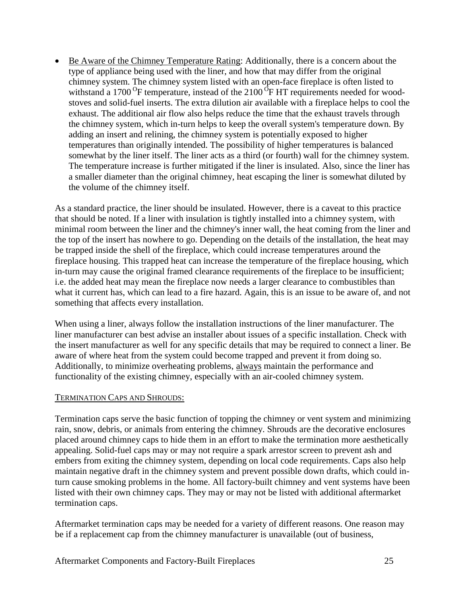Be Aware of the Chimney Temperature Rating: Additionally, there is a concern about the type of appliance being used with the liner, and how that may differ from the original chimney system. The chimney system listed with an open-face fireplace is often listed to withstand a 1700 $^{0}$ F temperature, instead of the 2100 $^{0}$ F HT requirements needed for woodstoves and solid-fuel inserts. The extra dilution air available with a fireplace helps to cool the exhaust. The additional air flow also helps reduce the time that the exhaust travels through the chimney system, which in-turn helps to keep the overall system's temperature down. By adding an insert and relining, the chimney system is potentially exposed to higher temperatures than originally intended. The possibility of higher temperatures is balanced somewhat by the liner itself. The liner acts as a third (or fourth) wall for the chimney system. The temperature increase is further mitigated if the liner is insulated. Also, since the liner has a smaller diameter than the original chimney, heat escaping the liner is somewhat diluted by the volume of the chimney itself.

As a standard practice, the liner should be insulated. However, there is a caveat to this practice that should be noted. If a liner with insulation is tightly installed into a chimney system, with minimal room between the liner and the chimney's inner wall, the heat coming from the liner and the top of the insert has nowhere to go. Depending on the details of the installation, the heat may be trapped inside the shell of the fireplace, which could increase temperatures around the fireplace housing. This trapped heat can increase the temperature of the fireplace housing, which in-turn may cause the original framed clearance requirements of the fireplace to be insufficient; i.e. the added heat may mean the fireplace now needs a larger clearance to combustibles than what it current has, which can lead to a fire hazard. Again, this is an issue to be aware of, and not something that affects every installation.

When using a liner, always follow the installation instructions of the liner manufacturer. The liner manufacturer can best advise an installer about issues of a specific installation. Check with the insert manufacturer as well for any specific details that may be required to connect a liner. Be aware of where heat from the system could become trapped and prevent it from doing so. Additionally, to minimize overheating problems, always maintain the performance and functionality of the existing chimney, especially with an air-cooled chimney system.

#### TERMINATION CAPS AND SHROUDS:

Termination caps serve the basic function of topping the chimney or vent system and minimizing rain, snow, debris, or animals from entering the chimney. Shrouds are the decorative enclosures placed around chimney caps to hide them in an effort to make the termination more aesthetically appealing. Solid-fuel caps may or may not require a spark arrestor screen to prevent ash and embers from exiting the chimney system, depending on local code requirements. Caps also help maintain negative draft in the chimney system and prevent possible down drafts, which could inturn cause smoking problems in the home. All factory-built chimney and vent systems have been listed with their own chimney caps. They may or may not be listed with additional aftermarket termination caps.

Aftermarket termination caps may be needed for a variety of different reasons. One reason may be if a replacement cap from the chimney manufacturer is unavailable (out of business,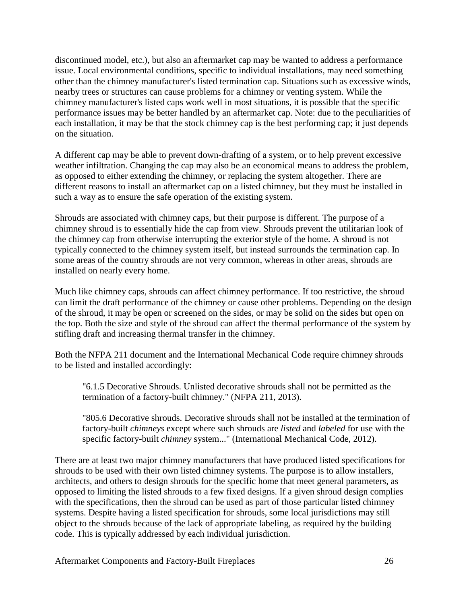discontinued model, etc.), but also an aftermarket cap may be wanted to address a performance issue. Local environmental conditions, specific to individual installations, may need something other than the chimney manufacturer's listed termination cap. Situations such as excessive winds, nearby trees or structures can cause problems for a chimney or venting system. While the chimney manufacturer's listed caps work well in most situations, it is possible that the specific performance issues may be better handled by an aftermarket cap. Note: due to the peculiarities of each installation, it may be that the stock chimney cap is the best performing cap; it just depends on the situation.

A different cap may be able to prevent down-drafting of a system, or to help prevent excessive weather infiltration. Changing the cap may also be an economical means to address the problem, as opposed to either extending the chimney, or replacing the system altogether. There are different reasons to install an aftermarket cap on a listed chimney, but they must be installed in such a way as to ensure the safe operation of the existing system.

Shrouds are associated with chimney caps, but their purpose is different. The purpose of a chimney shroud is to essentially hide the cap from view. Shrouds prevent the utilitarian look of the chimney cap from otherwise interrupting the exterior style of the home. A shroud is not typically connected to the chimney system itself, but instead surrounds the termination cap. In some areas of the country shrouds are not very common, whereas in other areas, shrouds are installed on nearly every home.

Much like chimney caps, shrouds can affect chimney performance. If too restrictive, the shroud can limit the draft performance of the chimney or cause other problems. Depending on the design of the shroud, it may be open or screened on the sides, or may be solid on the sides but open on the top. Both the size and style of the shroud can affect the thermal performance of the system by stifling draft and increasing thermal transfer in the chimney.

Both the NFPA 211 document and the International Mechanical Code require chimney shrouds to be listed and installed accordingly:

"6.1.5 Decorative Shrouds. Unlisted decorative shrouds shall not be permitted as the termination of a factory-built chimney." (NFPA 211, 2013).

"805.6 Decorative shrouds. Decorative shrouds shall not be installed at the termination of factory-built *chimneys* except where such shrouds are *listed* and *labeled* for use with the specific factory-built *chimney* system..." (International Mechanical Code, 2012).

There are at least two major chimney manufacturers that have produced listed specifications for shrouds to be used with their own listed chimney systems. The purpose is to allow installers, architects, and others to design shrouds for the specific home that meet general parameters, as opposed to limiting the listed shrouds to a few fixed designs. If a given shroud design complies with the specifications, then the shroud can be used as part of those particular listed chimney systems. Despite having a listed specification for shrouds, some local jurisdictions may still object to the shrouds because of the lack of appropriate labeling, as required by the building code. This is typically addressed by each individual jurisdiction.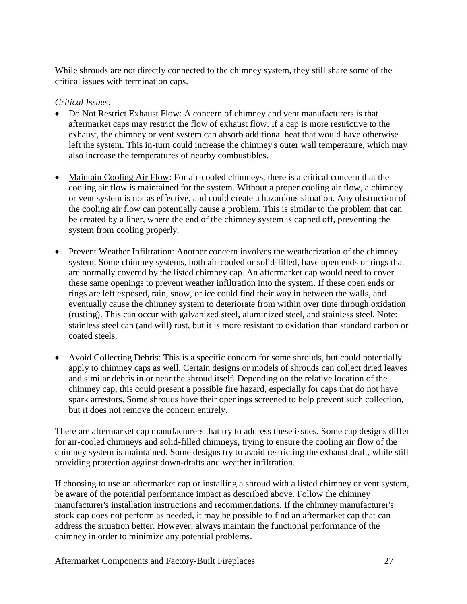While shrouds are not directly connected to the chimney system, they still share some of the critical issues with termination caps.

### *Critical Issues:*

- Do Not Restrict Exhaust Flow: A concern of chimney and vent manufacturers is that aftermarket caps may restrict the flow of exhaust flow. If a cap is more restrictive to the exhaust, the chimney or vent system can absorb additional heat that would have otherwise left the system. This in-turn could increase the chimney's outer wall temperature, which may also increase the temperatures of nearby combustibles.
- Maintain Cooling Air Flow: For air-cooled chimneys, there is a critical concern that the cooling air flow is maintained for the system. Without a proper cooling air flow, a chimney or vent system is not as effective, and could create a hazardous situation. Any obstruction of the cooling air flow can potentially cause a problem. This is similar to the problem that can be created by a liner, where the end of the chimney system is capped off, preventing the system from cooling properly.
- Prevent Weather Infiltration: Another concern involves the weatherization of the chimney system. Some chimney systems, both air-cooled or solid-filled, have open ends or rings that are normally covered by the listed chimney cap. An aftermarket cap would need to cover these same openings to prevent weather infiltration into the system. If these open ends or rings are left exposed, rain, snow, or ice could find their way in between the walls, and eventually cause the chimney system to deteriorate from within over time through oxidation (rusting). This can occur with galvanized steel, aluminized steel, and stainless steel. Note: stainless steel can (and will) rust, but it is more resistant to oxidation than standard carbon or coated steels.
- Avoid Collecting Debris: This is a specific concern for some shrouds, but could potentially apply to chimney caps as well. Certain designs or models of shrouds can collect dried leaves and similar debris in or near the shroud itself. Depending on the relative location of the chimney cap, this could present a possible fire hazard, especially for caps that do not have spark arrestors. Some shrouds have their openings screened to help prevent such collection, but it does not remove the concern entirely.

There are aftermarket cap manufacturers that try to address these issues. Some cap designs differ for air-cooled chimneys and solid-filled chimneys, trying to ensure the cooling air flow of the chimney system is maintained. Some designs try to avoid restricting the exhaust draft, while still providing protection against down-drafts and weather infiltration.

If choosing to use an aftermarket cap or installing a shroud with a listed chimney or vent system, be aware of the potential performance impact as described above. Follow the chimney manufacturer's installation instructions and recommendations. If the chimney manufacturer's stock cap does not perform as needed, it may be possible to find an aftermarket cap that can address the situation better. However, always maintain the functional performance of the chimney in order to minimize any potential problems.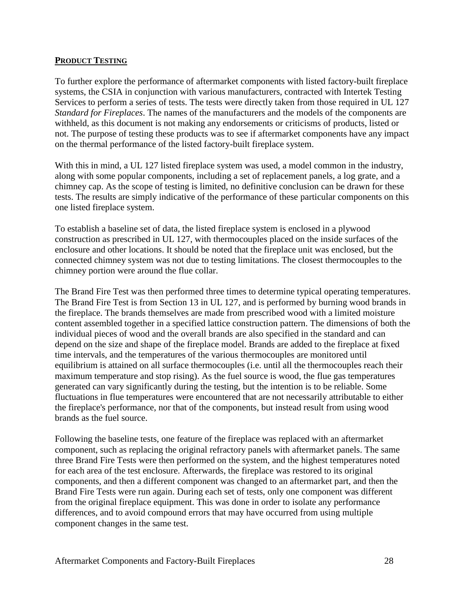#### **PRODUCT TESTING**

To further explore the performance of aftermarket components with listed factory-built fireplace systems, the CSIA in conjunction with various manufacturers, contracted with Intertek Testing Services to perform a series of tests. The tests were directly taken from those required in UL 127 *Standard for Fireplaces*. The names of the manufacturers and the models of the components are withheld, as this document is not making any endorsements or criticisms of products, listed or not. The purpose of testing these products was to see if aftermarket components have any impact on the thermal performance of the listed factory-built fireplace system.

With this in mind, a UL 127 listed fireplace system was used, a model common in the industry, along with some popular components, including a set of replacement panels, a log grate, and a chimney cap. As the scope of testing is limited, no definitive conclusion can be drawn for these tests. The results are simply indicative of the performance of these particular components on this one listed fireplace system.

To establish a baseline set of data, the listed fireplace system is enclosed in a plywood construction as prescribed in UL 127, with thermocouples placed on the inside surfaces of the enclosure and other locations. It should be noted that the fireplace unit was enclosed, but the connected chimney system was not due to testing limitations. The closest thermocouples to the chimney portion were around the flue collar.

The Brand Fire Test was then performed three times to determine typical operating temperatures. The Brand Fire Test is from Section 13 in UL 127, and is performed by burning wood brands in the fireplace. The brands themselves are made from prescribed wood with a limited moisture content assembled together in a specified lattice construction pattern. The dimensions of both the individual pieces of wood and the overall brands are also specified in the standard and can depend on the size and shape of the fireplace model. Brands are added to the fireplace at fixed time intervals, and the temperatures of the various thermocouples are monitored until equilibrium is attained on all surface thermocouples (i.e. until all the thermocouples reach their maximum temperature and stop rising). As the fuel source is wood, the flue gas temperatures generated can vary significantly during the testing, but the intention is to be reliable. Some fluctuations in flue temperatures were encountered that are not necessarily attributable to either the fireplace's performance, nor that of the components, but instead result from using wood brands as the fuel source.

Following the baseline tests, one feature of the fireplace was replaced with an aftermarket component, such as replacing the original refractory panels with aftermarket panels. The same three Brand Fire Tests were then performed on the system, and the highest temperatures noted for each area of the test enclosure. Afterwards, the fireplace was restored to its original components, and then a different component was changed to an aftermarket part, and then the Brand Fire Tests were run again. During each set of tests, only one component was different from the original fireplace equipment. This was done in order to isolate any performance differences, and to avoid compound errors that may have occurred from using multiple component changes in the same test.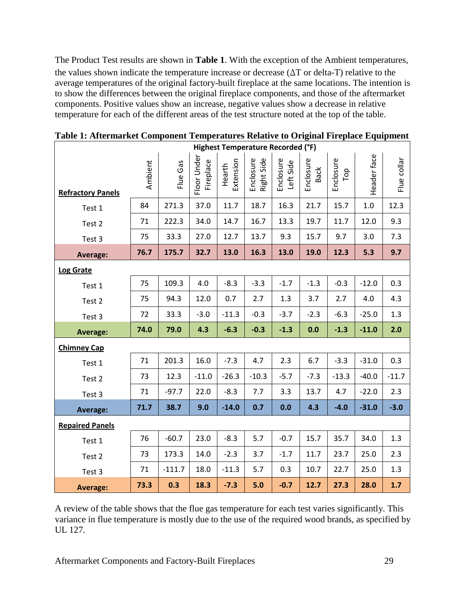The Product Test results are shown in **Table 1**. With the exception of the Ambient temperatures, the values shown indicate the temperature increase or decrease  $(\Delta T)$  or delta-T) relative to the average temperatures of the original factory-built fireplace at the same locations. The intention is to show the differences between the original fireplace components, and those of the aftermarket components. Positive values show an increase, negative values show a decrease in relative temperature for each of the different areas of the test structure noted at the top of the table.

| Highest Temperature Recorded (°F) |         |          |                          |                     |                         |                        |                   |                  |             |             |  |
|-----------------------------------|---------|----------|--------------------------|---------------------|-------------------------|------------------------|-------------------|------------------|-------------|-------------|--|
| <b>Refractory Panels</b>          | Ambient | Flue Gas | Floor Under<br>Fireplace | Extension<br>Hearth | Enclosure<br>Right Side | Enclosure<br>Left Side | Enclosure<br>Back | Enclosure<br>Top | Header face | Flue collar |  |
| Test 1                            | 84      | 271.3    | 37.0                     | 11.7                | 18.7                    | 16.3                   | 21.7              | 15.7             | $1.0\,$     | 12.3        |  |
| Test 2                            | 71      | 222.3    | 34.0                     | 14.7                | 16.7                    | 13.3                   | 19.7              | 11.7             | 12.0        | 9.3         |  |
| Test 3                            | 75      | 33.3     | 27.0                     | 12.7                | 13.7                    | 9.3                    | 15.7              | 9.7              | 3.0         | 7.3         |  |
| <b>Average:</b>                   | 76.7    | 175.7    | 32.7                     | 13.0                | 16.3                    | 13.0                   | 19.0              | 12.3             | 5.3         | 9.7         |  |
| <b>Log Grate</b>                  |         |          |                          |                     |                         |                        |                   |                  |             |             |  |
| Test 1                            | 75      | 109.3    | 4.0                      | $-8.3$              | $-3.3$                  | $-1.7$                 | $-1.3$            | $-0.3$           | $-12.0$     | 0.3         |  |
| Test 2                            | 75      | 94.3     | 12.0                     | 0.7                 | 2.7                     | 1.3                    | 3.7               | 2.7              | 4.0         | 4.3         |  |
| Test 3                            | 72      | 33.3     | $-3.0$                   | $-11.3$             | $-0.3$                  | $-3.7$                 | $-2.3$            | $-6.3$           | $-25.0$     | 1.3         |  |
| <b>Average:</b>                   | 74.0    | 79.0     | 4.3                      | $-6.3$              | $-0.3$                  | $-1.3$                 | 0.0               | $-1.3$           | $-11.0$     | 2.0         |  |
| <b>Chimney Cap</b>                |         |          |                          |                     |                         |                        |                   |                  |             |             |  |
| Test 1                            | 71      | 201.3    | 16.0                     | $-7.3$              | 4.7                     | 2.3                    | 6.7               | $-3.3$           | $-31.0$     | 0.3         |  |
| Test 2                            | 73      | 12.3     | $-11.0$                  | $-26.3$             | $-10.3$                 | $-5.7$                 | $-7.3$            | $-13.3$          | $-40.0$     | $-11.7$     |  |
| Test 3                            | 71      | $-97.7$  | 22.0                     | $-8.3$              | 7.7                     | 3.3                    | 13.7              | 4.7              | $-22.0$     | 2.3         |  |
| <b>Average:</b>                   | 71.7    | 38.7     | 9.0                      | $-14.0$             | 0.7                     | 0.0                    | 4.3               | $-4.0$           | $-31.0$     | $-3.0$      |  |
| <b>Repaired Panels</b>            |         |          |                          |                     |                         |                        |                   |                  |             |             |  |
| Test 1                            | 76      | $-60.7$  | 23.0                     | $-8.3$              | 5.7                     | $-0.7$                 | 15.7              | 35.7             | 34.0        | 1.3         |  |
|                                   |         |          |                          |                     |                         |                        |                   |                  |             |             |  |
| Test 2                            | 73      | 173.3    | 14.0                     | $-2.3$              | 3.7                     | $-1.7$                 | 11.7              | 23.7             | 25.0        | 2.3         |  |
| Test 3                            | 71      | $-111.7$ | 18.0                     | $-11.3$             | 5.7                     | 0.3                    | 10.7              | 22.7             | 25.0        | 1.3         |  |

**Table 1: Aftermarket Component Temperatures Relative to Original Fireplace Equipment**

A review of the table shows that the flue gas temperature for each test varies significantly. This variance in flue temperature is mostly due to the use of the required wood brands, as specified by UL 127.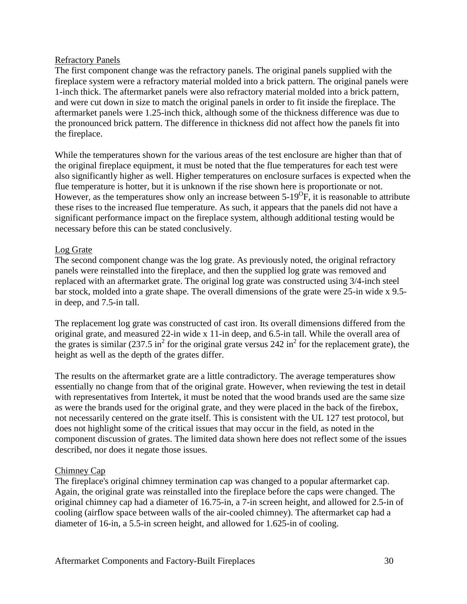#### Refractory Panels

The first component change was the refractory panels. The original panels supplied with the fireplace system were a refractory material molded into a brick pattern. The original panels were 1-inch thick. The aftermarket panels were also refractory material molded into a brick pattern, and were cut down in size to match the original panels in order to fit inside the fireplace. The aftermarket panels were 1.25-inch thick, although some of the thickness difference was due to the pronounced brick pattern. The difference in thickness did not affect how the panels fit into the fireplace.

While the temperatures shown for the various areas of the test enclosure are higher than that of the original fireplace equipment, it must be noted that the flue temperatures for each test were also significantly higher as well. Higher temperatures on enclosure surfaces is expected when the flue temperature is hotter, but it is unknown if the rise shown here is proportionate or not. However, as the temperatures show only an increase between  $5\text{-}19^\circ\text{F}$ , it is reasonable to attribute these rises to the increased flue temperature. As such, it appears that the panels did not have a significant performance impact on the fireplace system, although additional testing would be necessary before this can be stated conclusively.

## Log Grate

The second component change was the log grate. As previously noted, the original refractory panels were reinstalled into the fireplace, and then the supplied log grate was removed and replaced with an aftermarket grate. The original log grate was constructed using 3/4-inch steel bar stock, molded into a grate shape. The overall dimensions of the grate were 25-in wide x 9.5 in deep, and 7.5-in tall.

The replacement log grate was constructed of cast iron. Its overall dimensions differed from the original grate, and measured 22-in wide x 11-in deep, and 6.5-in tall. While the overall area of the grates is similar  $(237.5 \text{ in}^2 \text{ for the original gate versus } 242 \text{ in}^2 \text{ for the replacement gate})$ , the height as well as the depth of the grates differ.

The results on the aftermarket grate are a little contradictory. The average temperatures show essentially no change from that of the original grate. However, when reviewing the test in detail with representatives from Intertek, it must be noted that the wood brands used are the same size as were the brands used for the original grate, and they were placed in the back of the firebox, not necessarily centered on the grate itself. This is consistent with the UL 127 test protocol, but does not highlight some of the critical issues that may occur in the field, as noted in the component discussion of grates. The limited data shown here does not reflect some of the issues described, nor does it negate those issues.

#### Chimney Cap

The fireplace's original chimney termination cap was changed to a popular aftermarket cap. Again, the original grate was reinstalled into the fireplace before the caps were changed. The original chimney cap had a diameter of 16.75-in, a 7-in screen height, and allowed for 2.5-in of cooling (airflow space between walls of the air-cooled chimney). The aftermarket cap had a diameter of 16-in, a 5.5-in screen height, and allowed for 1.625-in of cooling.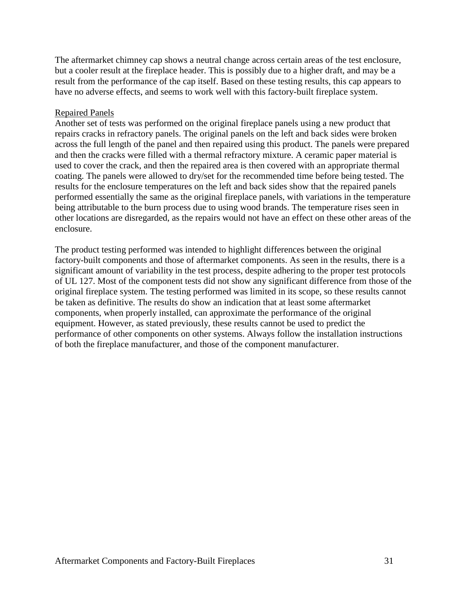The aftermarket chimney cap shows a neutral change across certain areas of the test enclosure, but a cooler result at the fireplace header. This is possibly due to a higher draft, and may be a result from the performance of the cap itself. Based on these testing results, this cap appears to have no adverse effects, and seems to work well with this factory-built fireplace system.

#### Repaired Panels

Another set of tests was performed on the original fireplace panels using a new product that repairs cracks in refractory panels. The original panels on the left and back sides were broken across the full length of the panel and then repaired using this product. The panels were prepared and then the cracks were filled with a thermal refractory mixture. A ceramic paper material is used to cover the crack, and then the repaired area is then covered with an appropriate thermal coating. The panels were allowed to dry/set for the recommended time before being tested. The results for the enclosure temperatures on the left and back sides show that the repaired panels performed essentially the same as the original fireplace panels, with variations in the temperature being attributable to the burn process due to using wood brands. The temperature rises seen in other locations are disregarded, as the repairs would not have an effect on these other areas of the enclosure.

The product testing performed was intended to highlight differences between the original factory-built components and those of aftermarket components. As seen in the results, there is a significant amount of variability in the test process, despite adhering to the proper test protocols of UL 127. Most of the component tests did not show any significant difference from those of the original fireplace system. The testing performed was limited in its scope, so these results cannot be taken as definitive. The results do show an indication that at least some aftermarket components, when properly installed, can approximate the performance of the original equipment. However, as stated previously, these results cannot be used to predict the performance of other components on other systems. Always follow the installation instructions of both the fireplace manufacturer, and those of the component manufacturer.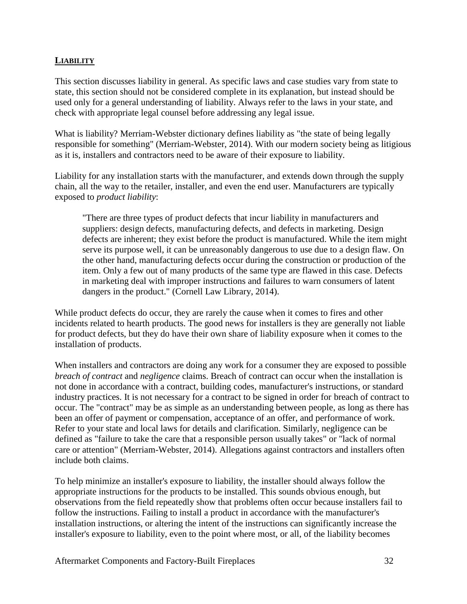### **LIABILITY**

This section discusses liability in general. As specific laws and case studies vary from state to state, this section should not be considered complete in its explanation, but instead should be used only for a general understanding of liability. Always refer to the laws in your state, and check with appropriate legal counsel before addressing any legal issue.

What is liability? Merriam-Webster dictionary defines liability as "the state of being legally responsible for something" (Merriam-Webster, 2014). With our modern society being as litigious as it is, installers and contractors need to be aware of their exposure to liability.

Liability for any installation starts with the manufacturer, and extends down through the supply chain, all the way to the retailer, installer, and even the end user. Manufacturers are typically exposed to *product liability*:

"There are three types of product defects that incur liability in manufacturers and suppliers: design defects, manufacturing defects, and defects in marketing. Design defects are inherent; they exist before the product is manufactured. While the item might serve its purpose well, it can be unreasonably dangerous to use due to a design flaw. On the other hand, manufacturing defects occur during the construction or production of the item. Only a few out of many products of the same type are flawed in this case. Defects in marketing deal with improper instructions and failures to warn consumers of latent dangers in the product." (Cornell Law Library, 2014).

While product defects do occur, they are rarely the cause when it comes to fires and other incidents related to hearth products. The good news for installers is they are generally not liable for product defects, but they do have their own share of liability exposure when it comes to the installation of products.

When installers and contractors are doing any work for a consumer they are exposed to possible *breach of contract* and *negligence* claims. Breach of contract can occur when the installation is not done in accordance with a contract, building codes, manufacturer's instructions, or standard industry practices. It is not necessary for a contract to be signed in order for breach of contract to occur. The "contract" may be as simple as an understanding between people, as long as there has been an offer of payment or compensation, acceptance of an offer, and performance of work. Refer to your state and local laws for details and clarification. Similarly, negligence can be defined as "failure to take the care that a responsible person usually takes" or "lack of normal care or attention" (Merriam-Webster, 2014). Allegations against contractors and installers often include both claims.

To help minimize an installer's exposure to liability, the installer should always follow the appropriate instructions for the products to be installed. This sounds obvious enough, but observations from the field repeatedly show that problems often occur because installers fail to follow the instructions. Failing to install a product in accordance with the manufacturer's installation instructions, or altering the intent of the instructions can significantly increase the installer's exposure to liability, even to the point where most, or all, of the liability becomes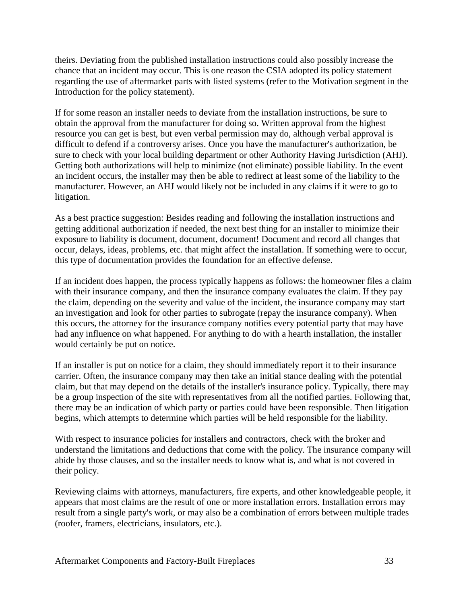theirs. Deviating from the published installation instructions could also possibly increase the chance that an incident may occur. This is one reason the CSIA adopted its policy statement regarding the use of aftermarket parts with listed systems (refer to the Motivation segment in the Introduction for the policy statement).

If for some reason an installer needs to deviate from the installation instructions, be sure to obtain the approval from the manufacturer for doing so. Written approval from the highest resource you can get is best, but even verbal permission may do, although verbal approval is difficult to defend if a controversy arises. Once you have the manufacturer's authorization, be sure to check with your local building department or other Authority Having Jurisdiction (AHJ). Getting both authorizations will help to minimize (not eliminate) possible liability. In the event an incident occurs, the installer may then be able to redirect at least some of the liability to the manufacturer. However, an AHJ would likely not be included in any claims if it were to go to litigation.

As a best practice suggestion: Besides reading and following the installation instructions and getting additional authorization if needed, the next best thing for an installer to minimize their exposure to liability is document, document, document! Document and record all changes that occur, delays, ideas, problems, etc. that might affect the installation. If something were to occur, this type of documentation provides the foundation for an effective defense.

If an incident does happen, the process typically happens as follows: the homeowner files a claim with their insurance company, and then the insurance company evaluates the claim. If they pay the claim, depending on the severity and value of the incident, the insurance company may start an investigation and look for other parties to subrogate (repay the insurance company). When this occurs, the attorney for the insurance company notifies every potential party that may have had any influence on what happened. For anything to do with a hearth installation, the installer would certainly be put on notice.

If an installer is put on notice for a claim, they should immediately report it to their insurance carrier. Often, the insurance company may then take an initial stance dealing with the potential claim, but that may depend on the details of the installer's insurance policy. Typically, there may be a group inspection of the site with representatives from all the notified parties. Following that, there may be an indication of which party or parties could have been responsible. Then litigation begins, which attempts to determine which parties will be held responsible for the liability.

With respect to insurance policies for installers and contractors, check with the broker and understand the limitations and deductions that come with the policy. The insurance company will abide by those clauses, and so the installer needs to know what is, and what is not covered in their policy.

Reviewing claims with attorneys, manufacturers, fire experts, and other knowledgeable people, it appears that most claims are the result of one or more installation errors. Installation errors may result from a single party's work, or may also be a combination of errors between multiple trades (roofer, framers, electricians, insulators, etc.).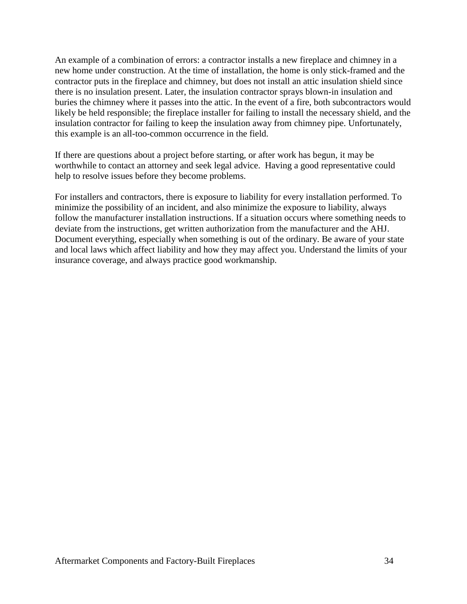An example of a combination of errors: a contractor installs a new fireplace and chimney in a new home under construction. At the time of installation, the home is only stick-framed and the contractor puts in the fireplace and chimney, but does not install an attic insulation shield since there is no insulation present. Later, the insulation contractor sprays blown-in insulation and buries the chimney where it passes into the attic. In the event of a fire, both subcontractors would likely be held responsible; the fireplace installer for failing to install the necessary shield, and the insulation contractor for failing to keep the insulation away from chimney pipe. Unfortunately, this example is an all-too-common occurrence in the field.

If there are questions about a project before starting, or after work has begun, it may be worthwhile to contact an attorney and seek legal advice. Having a good representative could help to resolve issues before they become problems.

For installers and contractors, there is exposure to liability for every installation performed. To minimize the possibility of an incident, and also minimize the exposure to liability, always follow the manufacturer installation instructions. If a situation occurs where something needs to deviate from the instructions, get written authorization from the manufacturer and the AHJ. Document everything, especially when something is out of the ordinary. Be aware of your state and local laws which affect liability and how they may affect you. Understand the limits of your insurance coverage, and always practice good workmanship.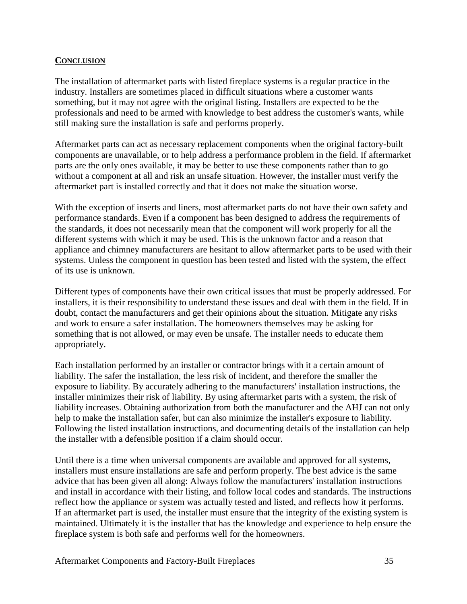#### **CONCLUSION**

The installation of aftermarket parts with listed fireplace systems is a regular practice in the industry. Installers are sometimes placed in difficult situations where a customer wants something, but it may not agree with the original listing. Installers are expected to be the professionals and need to be armed with knowledge to best address the customer's wants, while still making sure the installation is safe and performs properly.

Aftermarket parts can act as necessary replacement components when the original factory-built components are unavailable, or to help address a performance problem in the field. If aftermarket parts are the only ones available, it may be better to use these components rather than to go without a component at all and risk an unsafe situation. However, the installer must verify the aftermarket part is installed correctly and that it does not make the situation worse.

With the exception of inserts and liners, most aftermarket parts do not have their own safety and performance standards. Even if a component has been designed to address the requirements of the standards, it does not necessarily mean that the component will work properly for all the different systems with which it may be used. This is the unknown factor and a reason that appliance and chimney manufacturers are hesitant to allow aftermarket parts to be used with their systems. Unless the component in question has been tested and listed with the system, the effect of its use is unknown.

Different types of components have their own critical issues that must be properly addressed. For installers, it is their responsibility to understand these issues and deal with them in the field. If in doubt, contact the manufacturers and get their opinions about the situation. Mitigate any risks and work to ensure a safer installation. The homeowners themselves may be asking for something that is not allowed, or may even be unsafe. The installer needs to educate them appropriately.

Each installation performed by an installer or contractor brings with it a certain amount of liability. The safer the installation, the less risk of incident, and therefore the smaller the exposure to liability. By accurately adhering to the manufacturers' installation instructions, the installer minimizes their risk of liability. By using aftermarket parts with a system, the risk of liability increases. Obtaining authorization from both the manufacturer and the AHJ can not only help to make the installation safer, but can also minimize the installer's exposure to liability. Following the listed installation instructions, and documenting details of the installation can help the installer with a defensible position if a claim should occur.

Until there is a time when universal components are available and approved for all systems, installers must ensure installations are safe and perform properly. The best advice is the same advice that has been given all along: Always follow the manufacturers' installation instructions and install in accordance with their listing, and follow local codes and standards. The instructions reflect how the appliance or system was actually tested and listed, and reflects how it performs. If an aftermarket part is used, the installer must ensure that the integrity of the existing system is maintained. Ultimately it is the installer that has the knowledge and experience to help ensure the fireplace system is both safe and performs well for the homeowners.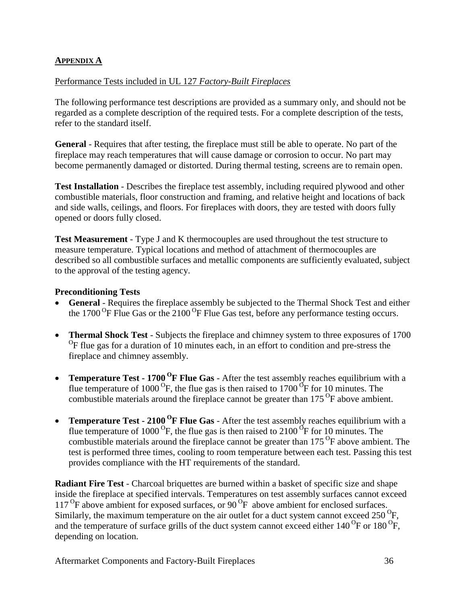## **APPENDIX A**

#### Performance Tests included in UL 127 *Factory-Built Fireplaces*

The following performance test descriptions are provided as a summary only, and should not be regarded as a complete description of the required tests. For a complete description of the tests, refer to the standard itself.

**General** - Requires that after testing, the fireplace must still be able to operate. No part of the fireplace may reach temperatures that will cause damage or corrosion to occur. No part may become permanently damaged or distorted. During thermal testing, screens are to remain open.

**Test Installation** - Describes the fireplace test assembly, including required plywood and other combustible materials, floor construction and framing, and relative height and locations of back and side walls, ceilings, and floors. For fireplaces with doors, they are tested with doors fully opened or doors fully closed.

**Test Measurement** - Type J and K thermocouples are used throughout the test structure to measure temperature. Typical locations and method of attachment of thermocouples are described so all combustible surfaces and metallic components are sufficiently evaluated, subject to the approval of the testing agency.

#### **Preconditioning Tests**

- **General** Requires the fireplace assembly be subjected to the Thermal Shock Test and either the 1700  $^{\rm o}$ F Flue Gas or the 2100  $^{\rm o}$ F Flue Gas test, before any performance testing occurs.
- **Thermal Shock Test** Subjects the fireplace and chimney system to three exposures of 1700  ${}^{0}$ F flue gas for a duration of 10 minutes each, in an effort to condition and pre-stress the fireplace and chimney assembly.
- **Temperature Test 1700<sup>O</sup>F Flue Gas** After the test assembly reaches equilibrium with a flue temperature of 1000<sup>o</sup>F, the flue gas is then raised to 1700<sup>o</sup>F for 10 minutes. The combustible materials around the fireplace cannot be greater than  $175<sup>o</sup>F$  above ambient.
- **Temperature Test - 2100 <sup>O</sup> F Flue Gas** After the test assembly reaches equilibrium with a flue temperature of 1000<sup>o</sup>F, the flue gas is then raised to 2100<sup>o</sup>F for 10 minutes. The combustible materials around the fireplace cannot be greater than  $175<sup>o</sup>F$  above ambient. The test is performed three times, cooling to room temperature between each test. Passing this test provides compliance with the HT requirements of the standard.

**Radiant Fire Test** - Charcoal briquettes are burned within a basket of specific size and shape inside the fireplace at specified intervals. Temperatures on test assembly surfaces cannot exceed 117<sup>o</sup>F above ambient for exposed surfaces, or 90<sup>o</sup>F above ambient for enclosed surfaces. Similarly, the maximum temperature on the air outlet for a duct system cannot exceed  $250^{\circ}$ F, and the temperature of surface grills of the duct system cannot exceed either  $140^{\circ}$ F or  $180^{\circ}$ F, depending on location.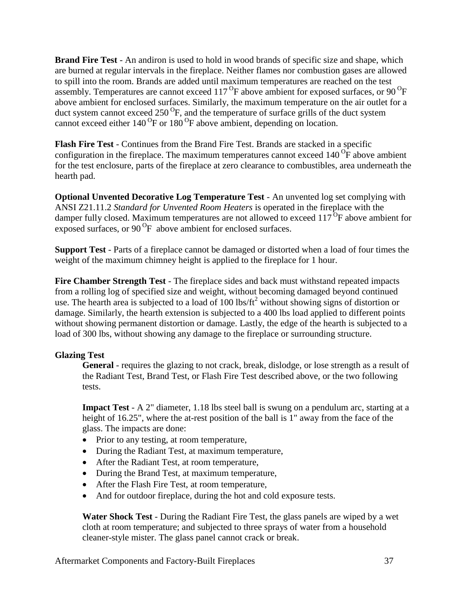**Brand Fire Test** - An andiron is used to hold in wood brands of specific size and shape, which are burned at regular intervals in the fireplace. Neither flames nor combustion gases are allowed to spill into the room. Brands are added until maximum temperatures are reached on the test assembly. Temperatures are cannot exceed 117 ${}^{0}$ F above ambient for exposed surfaces, or 90 ${}^{0}$ F above ambient for enclosed surfaces. Similarly, the maximum temperature on the air outlet for a duct system cannot exceed  $250^{\circ}$ F, and the temperature of surface grills of the duct system cannot exceed either  $140^{\circ}$ F or  $180^{\circ}$ F above ambient, depending on location.

**Flash Fire Test** - Continues from the Brand Fire Test. Brands are stacked in a specific configuration in the fireplace. The maximum temperatures cannot exceed  $140^{\circ}$ F above ambient for the test enclosure, parts of the fireplace at zero clearance to combustibles, area underneath the hearth pad.

**Optional Unvented Decorative Log Temperature Test** - An unvented log set complying with ANSI Z21.11.2 *Standard for Unvented Room Heaters* is operated in the fireplace with the damper fully closed. Maximum temperatures are not allowed to exceed  $117^{6}F$  above ambient for exposed surfaces, or  $90^{\circ}$ F above ambient for enclosed surfaces.

**Support Test** - Parts of a fireplace cannot be damaged or distorted when a load of four times the weight of the maximum chimney height is applied to the fireplace for 1 hour.

**Fire Chamber Strength Test** - The fireplace sides and back must withstand repeated impacts from a rolling log of specified size and weight, without becoming damaged beyond continued use. The hearth area is subjected to a load of 100 lbs/ft<sup>2</sup> without showing signs of distortion or damage. Similarly, the hearth extension is subjected to a 400 lbs load applied to different points without showing permanent distortion or damage. Lastly, the edge of the hearth is subjected to a load of 300 lbs, without showing any damage to the fireplace or surrounding structure.

## **Glazing Test**

**General** - requires the glazing to not crack, break, dislodge, or lose strength as a result of the Radiant Test, Brand Test, or Flash Fire Test described above, or the two following tests.

**Impact Test** - A 2" diameter, 1.18 lbs steel ball is swung on a pendulum arc, starting at a height of 16.25", where the at-rest position of the ball is 1" away from the face of the glass. The impacts are done:

- Prior to any testing, at room temperature,
- During the Radiant Test, at maximum temperature,
- After the Radiant Test, at room temperature,
- During the Brand Test, at maximum temperature,
- After the Flash Fire Test, at room temperature,
- And for outdoor fireplace, during the hot and cold exposure tests.

**Water Shock Test** - During the Radiant Fire Test, the glass panels are wiped by a wet cloth at room temperature; and subjected to three sprays of water from a household cleaner-style mister. The glass panel cannot crack or break.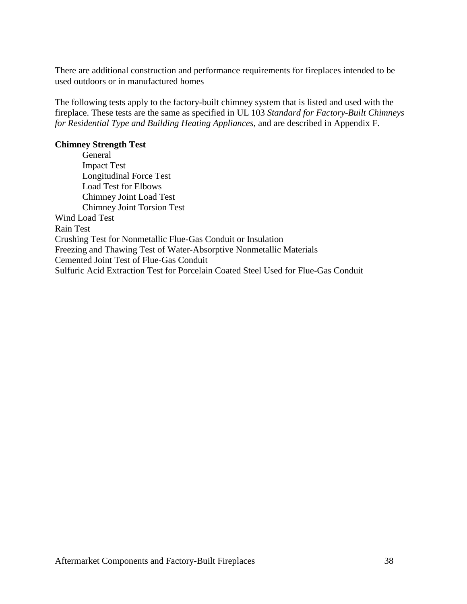There are additional construction and performance requirements for fireplaces intended to be used outdoors or in manufactured homes

The following tests apply to the factory-built chimney system that is listed and used with the fireplace. These tests are the same as specified in UL 103 *Standard for Factory-Built Chimneys for Residential Type and Building Heating Appliances*, and are described in Appendix F.

#### **Chimney Strength Test**

General Impact Test Longitudinal Force Test Load Test for Elbows Chimney Joint Load Test Chimney Joint Torsion Test Wind Load Test Rain Test Crushing Test for Nonmetallic Flue-Gas Conduit or Insulation Freezing and Thawing Test of Water-Absorptive Nonmetallic Materials Cemented Joint Test of Flue-Gas Conduit Sulfuric Acid Extraction Test for Porcelain Coated Steel Used for Flue-Gas Conduit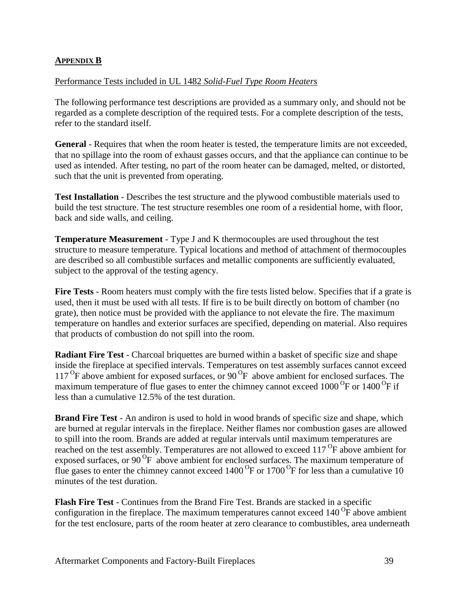### **APPENDIX B**

#### Performance Tests included in UL 1482 *Solid-Fuel Type Room Heaters*

The following performance test descriptions are provided as a summary only, and should not be regarded as a complete description of the required tests. For a complete description of the tests, refer to the standard itself.

**General** - Requires that when the room heater is tested, the temperature limits are not exceeded, that no spillage into the room of exhaust gasses occurs, and that the appliance can continue to be used as intended. After testing, no part of the room heater can be damaged, melted, or distorted, such that the unit is prevented from operating.

**Test Installation** - Describes the test structure and the plywood combustible materials used to build the test structure. The test structure resembles one room of a residential home, with floor, back and side walls, and ceiling.

**Temperature Measurement** - Type J and K thermocouples are used throughout the test structure to measure temperature. Typical locations and method of attachment of thermocouples are described so all combustible surfaces and metallic components are sufficiently evaluated, subject to the approval of the testing agency.

**Fire Tests** - Room heaters must comply with the fire tests listed below. Specifies that if a grate is used, then it must be used with all tests. If fire is to be built directly on bottom of chamber (no grate), then notice must be provided with the appliance to not elevate the fire. The maximum temperature on handles and exterior surfaces are specified, depending on material. Also requires that products of combustion do not spill into the room.

**Radiant Fire Test** - Charcoal briquettes are burned within a basket of specific size and shape inside the fireplace at specified intervals. Temperatures on test assembly surfaces cannot exceed 117<sup>O</sup>F above ambient for exposed surfaces, or 90<sup>O</sup>F above ambient for enclosed surfaces. The maximum temperature of flue gases to enter the chimney cannot exceed  $1000^{\circ}$ F or  $1400^{\circ}$ F if less than a cumulative 12.5% of the test duration.

**Brand Fire Test** - An andiron is used to hold in wood brands of specific size and shape, which are burned at regular intervals in the fireplace. Neither flames nor combustion gases are allowed to spill into the room. Brands are added at regular intervals until maximum temperatures are reached on the test assembly. Temperatures are not allowed to exceed 117<sup>o</sup>F above ambient for exposed surfaces, or 90<sup>o</sup>F above ambient for enclosed surfaces. The maximum temperature of flue gases to enter the chimney cannot exceed  $1400\,^{\text{O}}$ F or  $1700\,^{\text{O}}$ F for less than a cumulative 10 minutes of the test duration.

**Flash Fire Test** - Continues from the Brand Fire Test. Brands are stacked in a specific configuration in the fireplace. The maximum temperatures cannot exceed  $140^{\circ}$ F above ambient for the test enclosure, parts of the room heater at zero clearance to combustibles, area underneath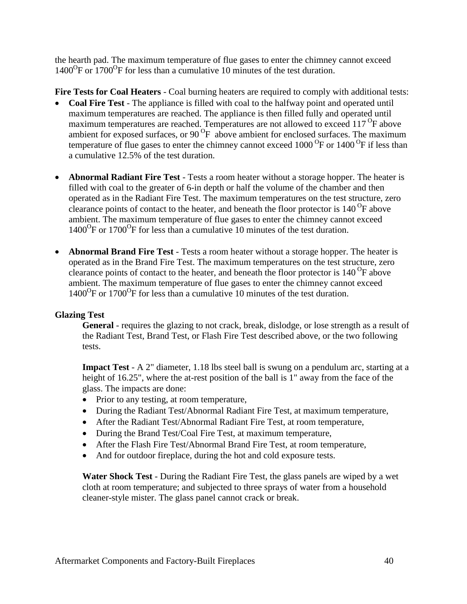the hearth pad. The maximum temperature of flue gases to enter the chimney cannot exceed 1400<sup>o</sup>F or 1700<sup>o</sup>F for less than a cumulative 10 minutes of the test duration.

**Fire Tests for Coal Heaters** - Coal burning heaters are required to comply with additional tests:

- **Coal Fire Test** The appliance is filled with coal to the halfway point and operated until maximum temperatures are reached. The appliance is then filled fully and operated until maximum temperatures are reached. Temperatures are not allowed to exceed  $117^{\circ}$ F above ambient for exposed surfaces, or  $90^{\circ}$ F above ambient for enclosed surfaces. The maximum temperature of flue gases to enter the chimney cannot exceed  $1000^{\circ}$ F or  $1400^{\circ}$ F if less than a cumulative 12.5% of the test duration.
- **Abnormal Radiant Fire Test** Tests a room heater without a storage hopper. The heater is filled with coal to the greater of 6-in depth or half the volume of the chamber and then operated as in the Radiant Fire Test. The maximum temperatures on the test structure, zero clearance points of contact to the heater, and beneath the floor protector is  $140^{\circ}$ F above ambient. The maximum temperature of flue gases to enter the chimney cannot exceed 1400<sup>o</sup>F or 1700<sup>o</sup>F for less than a cumulative 10 minutes of the test duration.
- **Abnormal Brand Fire Test** Tests a room heater without a storage hopper. The heater is operated as in the Brand Fire Test. The maximum temperatures on the test structure, zero clearance points of contact to the heater, and beneath the floor protector is  $140^{\circ}$ F above ambient. The maximum temperature of flue gases to enter the chimney cannot exceed 1400<sup>o</sup>F or 1700<sup>o</sup>F for less than a cumulative 10 minutes of the test duration.

## **Glazing Test**

**General** - requires the glazing to not crack, break, dislodge, or lose strength as a result of the Radiant Test, Brand Test, or Flash Fire Test described above, or the two following tests.

**Impact Test** - A 2" diameter, 1.18 lbs steel ball is swung on a pendulum arc, starting at a height of 16.25", where the at-rest position of the ball is 1" away from the face of the glass. The impacts are done:

- Prior to any testing, at room temperature,
- During the Radiant Test/Abnormal Radiant Fire Test, at maximum temperature,
- After the Radiant Test/Abnormal Radiant Fire Test, at room temperature,
- During the Brand Test/Coal Fire Test, at maximum temperature,
- After the Flash Fire Test/Abnormal Brand Fire Test, at room temperature,
- And for outdoor fireplace, during the hot and cold exposure tests.

**Water Shock Test** - During the Radiant Fire Test, the glass panels are wiped by a wet cloth at room temperature; and subjected to three sprays of water from a household cleaner-style mister. The glass panel cannot crack or break.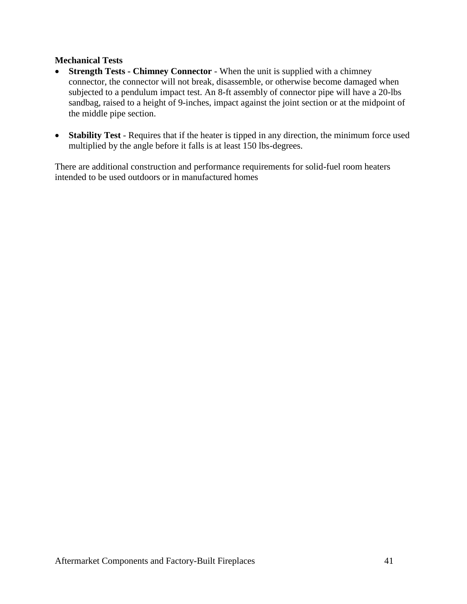### **Mechanical Tests**

- **Strength Tests - Chimney Connector** When the unit is supplied with a chimney connector, the connector will not break, disassemble, or otherwise become damaged when subjected to a pendulum impact test. An 8-ft assembly of connector pipe will have a 20-lbs sandbag, raised to a height of 9-inches, impact against the joint section or at the midpoint of the middle pipe section.
- **Stability Test** Requires that if the heater is tipped in any direction, the minimum force used multiplied by the angle before it falls is at least 150 lbs-degrees.

There are additional construction and performance requirements for solid-fuel room heaters intended to be used outdoors or in manufactured homes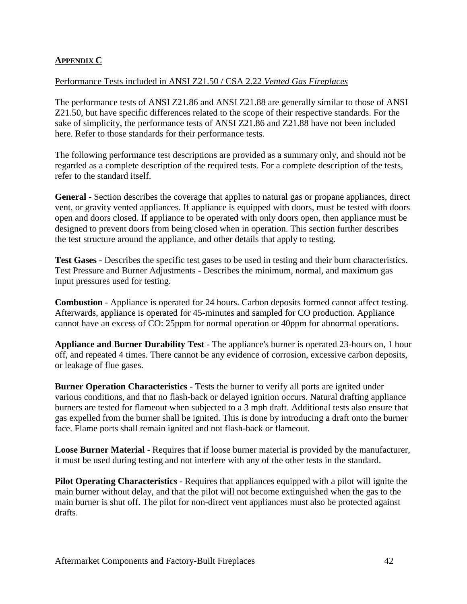### **APPENDIX C**

#### Performance Tests included in ANSI Z21.50 / CSA 2.22 *Vented Gas Fireplaces*

The performance tests of ANSI Z21.86 and ANSI Z21.88 are generally similar to those of ANSI Z21.50, but have specific differences related to the scope of their respective standards. For the sake of simplicity, the performance tests of ANSI Z21.86 and Z21.88 have not been included here. Refer to those standards for their performance tests.

The following performance test descriptions are provided as a summary only, and should not be regarded as a complete description of the required tests. For a complete description of the tests, refer to the standard itself.

**General** - Section describes the coverage that applies to natural gas or propane appliances, direct vent, or gravity vented appliances. If appliance is equipped with doors, must be tested with doors open and doors closed. If appliance to be operated with only doors open, then appliance must be designed to prevent doors from being closed when in operation. This section further describes the test structure around the appliance, and other details that apply to testing.

**Test Gases** - Describes the specific test gases to be used in testing and their burn characteristics. Test Pressure and Burner Adjustments - Describes the minimum, normal, and maximum gas input pressures used for testing.

**Combustion** - Appliance is operated for 24 hours. Carbon deposits formed cannot affect testing. Afterwards, appliance is operated for 45-minutes and sampled for CO production. Appliance cannot have an excess of CO: 25ppm for normal operation or 40ppm for abnormal operations.

**Appliance and Burner Durability Test** - The appliance's burner is operated 23-hours on, 1 hour off, and repeated 4 times. There cannot be any evidence of corrosion, excessive carbon deposits, or leakage of flue gases.

**Burner Operation Characteristics** - Tests the burner to verify all ports are ignited under various conditions, and that no flash-back or delayed ignition occurs. Natural drafting appliance burners are tested for flameout when subjected to a 3 mph draft. Additional tests also ensure that gas expelled from the burner shall be ignited. This is done by introducing a draft onto the burner face. Flame ports shall remain ignited and not flash-back or flameout.

**Loose Burner Material** - Requires that if loose burner material is provided by the manufacturer, it must be used during testing and not interfere with any of the other tests in the standard.

**Pilot Operating Characteristics** - Requires that appliances equipped with a pilot will ignite the main burner without delay, and that the pilot will not become extinguished when the gas to the main burner is shut off. The pilot for non-direct vent appliances must also be protected against drafts.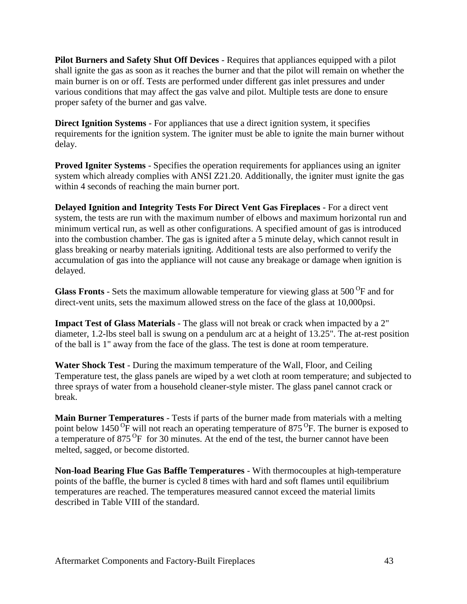**Pilot Burners and Safety Shut Off Devices** - Requires that appliances equipped with a pilot shall ignite the gas as soon as it reaches the burner and that the pilot will remain on whether the main burner is on or off. Tests are performed under different gas inlet pressures and under various conditions that may affect the gas valve and pilot. Multiple tests are done to ensure proper safety of the burner and gas valve.

**Direct Ignition Systems** - For appliances that use a direct ignition system, it specifies requirements for the ignition system. The igniter must be able to ignite the main burner without delay.

**Proved Igniter Systems** - Specifies the operation requirements for appliances using an igniter system which already complies with ANSI Z21.20. Additionally, the igniter must ignite the gas within 4 seconds of reaching the main burner port.

**Delayed Ignition and Integrity Tests For Direct Vent Gas Fireplaces** - For a direct vent system, the tests are run with the maximum number of elbows and maximum horizontal run and minimum vertical run, as well as other configurations. A specified amount of gas is introduced into the combustion chamber. The gas is ignited after a 5 minute delay, which cannot result in glass breaking or nearby materials igniting. Additional tests are also performed to verify the accumulation of gas into the appliance will not cause any breakage or damage when ignition is delayed.

**Glass Fronts** - Sets the maximum allowable temperature for viewing glass at 500<sup>°</sup>F and for direct-vent units, sets the maximum allowed stress on the face of the glass at 10,000psi.

**Impact Test of Glass Materials** - The glass will not break or crack when impacted by a 2" diameter, 1.2-lbs steel ball is swung on a pendulum arc at a height of 13.25". The at-rest position of the ball is 1" away from the face of the glass. The test is done at room temperature.

**Water Shock Test** - During the maximum temperature of the Wall, Floor, and Ceiling Temperature test, the glass panels are wiped by a wet cloth at room temperature; and subjected to three sprays of water from a household cleaner-style mister. The glass panel cannot crack or break.

**Main Burner Temperatures** - Tests if parts of the burner made from materials with a melting point below 1450 $\overline{^{\circ}F}$  will not reach an operating temperature of 875 $\overline{^{\circ}F}$ . The burner is exposed to a temperature of  $875 \text{ °F}$  for 30 minutes. At the end of the test, the burner cannot have been melted, sagged, or become distorted.

**Non-load Bearing Flue Gas Baffle Temperatures** - With thermocouples at high-temperature points of the baffle, the burner is cycled 8 times with hard and soft flames until equilibrium temperatures are reached. The temperatures measured cannot exceed the material limits described in Table VIII of the standard.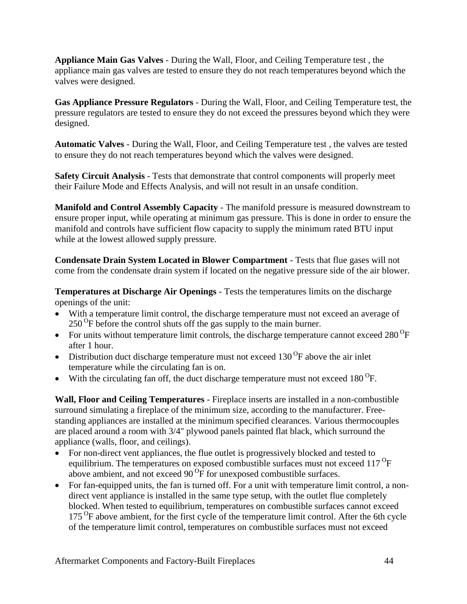**Appliance Main Gas Valves** - During the Wall, Floor, and Ceiling Temperature test , the appliance main gas valves are tested to ensure they do not reach temperatures beyond which the valves were designed.

**Gas Appliance Pressure Regulators** - During the Wall, Floor, and Ceiling Temperature test, the pressure regulators are tested to ensure they do not exceed the pressures beyond which they were designed.

**Automatic Valves** - During the Wall, Floor, and Ceiling Temperature test , the valves are tested to ensure they do not reach temperatures beyond which the valves were designed.

**Safety Circuit Analysis** - Tests that demonstrate that control components will properly meet their Failure Mode and Effects Analysis, and will not result in an unsafe condition.

**Manifold and Control Assembly Capacity** - The manifold pressure is measured downstream to ensure proper input, while operating at minimum gas pressure. This is done in order to ensure the manifold and controls have sufficient flow capacity to supply the minimum rated BTU input while at the lowest allowed supply pressure.

**Condensate Drain System Located in Blower Compartment** - Tests that flue gases will not come from the condensate drain system if located on the negative pressure side of the air blower.

**Temperatures at Discharge Air Openings** - Tests the temperatures limits on the discharge openings of the unit:

- With a temperature limit control, the discharge temperature must not exceed an average of  $250^{\circ}$ F before the control shuts off the gas supply to the main burner.
- For units without temperature limit controls, the discharge temperature cannot exceed 280  $^{\circ}$ F after 1 hour.
- Distribution duct discharge temperature must not exceed  $130^{\circ}$ F above the air inlet temperature while the circulating fan is on.
- With the circulating fan off, the duct discharge temperature must not exceed  $180^{\circ}$ F.

**Wall, Floor and Ceiling Temperatures** - Fireplace inserts are installed in a non-combustible surround simulating a fireplace of the minimum size, according to the manufacturer. Freestanding appliances are installed at the minimum specified clearances. Various thermocouples are placed around a room with 3/4" plywood panels painted flat black, which surround the appliance (walls, floor, and ceilings).

- For non-direct vent appliances, the flue outlet is progressively blocked and tested to equilibrium. The temperatures on exposed combustible surfaces must not exceed  $117^{\circ}F$ above ambient, and not exceed  $90\,\text{°F}$  for unexposed combustible surfaces.
- For fan-equipped units, the fan is turned off. For a unit with temperature limit control, a nondirect vent appliance is installed in the same type setup, with the outlet flue completely blocked. When tested to equilibrium, temperatures on combustible surfaces cannot exceed 175<sup>O</sup>F above ambient, for the first cycle of the temperature limit control. After the 6th cycle of the temperature limit control, temperatures on combustible surfaces must not exceed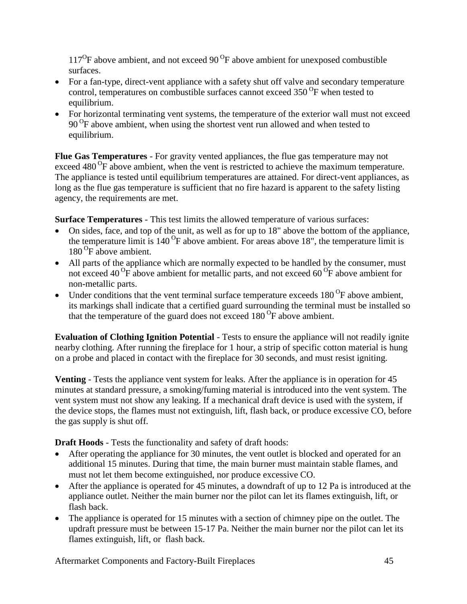$117^{\circ}$ F above ambient, and not exceed 90 $^{\circ}$ F above ambient for unexposed combustible surfaces.

- For a fan-type, direct-vent appliance with a safety shut off valve and secondary temperature control, temperatures on combustible surfaces cannot exceed  $350^{\circ}$ F when tested to equilibrium.
- For horizontal terminating vent systems, the temperature of the exterior wall must not exceed 90<sup>o</sup>F above ambient, when using the shortest vent run allowed and when tested to equilibrium.

**Flue Gas Temperatures** - For gravity vented appliances, the flue gas temperature may not exceed 480<sup>o</sup>F above ambient, when the vent is restricted to achieve the maximum temperature. The appliance is tested until equilibrium temperatures are attained. For direct-vent appliances, as long as the flue gas temperature is sufficient that no fire hazard is apparent to the safety listing agency, the requirements are met.

**Surface Temperatures** - This test limits the allowed temperature of various surfaces:

- On sides, face, and top of the unit, as well as for up to 18" above the bottom of the appliance, the temperature limit is  $140^{\circ}$ F above ambient. For areas above 18", the temperature limit is 180<sup>O</sup>F above ambient.
- All parts of the appliance which are normally expected to be handled by the consumer, must not exceed 40  $\overline{P}$  above ambient for metallic parts, and not exceed 60  $\overline{P}$  above ambient for non-metallic parts.
- Under conditions that the vent terminal surface temperature exceeds  $180^{\circ}$ F above ambient, its markings shall indicate that a certified guard surrounding the terminal must be installed so that the temperature of the guard does not exceed  $180^{\circ}$ F above ambient.

**Evaluation of Clothing Ignition Potential** - Tests to ensure the appliance will not readily ignite nearby clothing. After running the fireplace for 1 hour, a strip of specific cotton material is hung on a probe and placed in contact with the fireplace for 30 seconds, and must resist igniting.

**Venting** - Tests the appliance vent system for leaks. After the appliance is in operation for 45 minutes at standard pressure, a smoking/fuming material is introduced into the vent system. The vent system must not show any leaking. If a mechanical draft device is used with the system, if the device stops, the flames must not extinguish, lift, flash back, or produce excessive CO, before the gas supply is shut off.

**Draft Hoods** - Tests the functionality and safety of draft hoods:

- After operating the appliance for 30 minutes, the vent outlet is blocked and operated for an additional 15 minutes. During that time, the main burner must maintain stable flames, and must not let them become extinguished, nor produce excessive CO.
- After the appliance is operated for 45 minutes, a downdraft of up to 12 Pa is introduced at the appliance outlet. Neither the main burner nor the pilot can let its flames extinguish, lift, or flash back.
- The appliance is operated for 15 minutes with a section of chimney pipe on the outlet. The updraft pressure must be between 15-17 Pa. Neither the main burner nor the pilot can let its flames extinguish, lift, or flash back.

Aftermarket Components and Factory-Built Fireplaces 45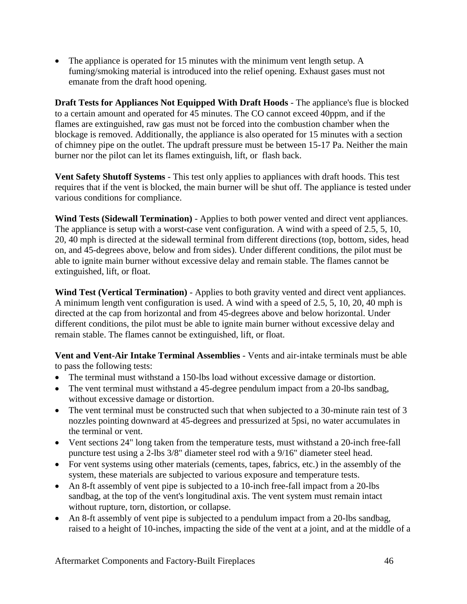• The appliance is operated for 15 minutes with the minimum vent length setup. A fuming/smoking material is introduced into the relief opening. Exhaust gases must not emanate from the draft hood opening.

**Draft Tests for Appliances Not Equipped With Draft Hoods** - The appliance's flue is blocked to a certain amount and operated for 45 minutes. The CO cannot exceed 40ppm, and if the flames are extinguished, raw gas must not be forced into the combustion chamber when the blockage is removed. Additionally, the appliance is also operated for 15 minutes with a section of chimney pipe on the outlet. The updraft pressure must be between 15-17 Pa. Neither the main burner nor the pilot can let its flames extinguish, lift, or flash back.

**Vent Safety Shutoff Systems** - This test only applies to appliances with draft hoods. This test requires that if the vent is blocked, the main burner will be shut off. The appliance is tested under various conditions for compliance.

**Wind Tests (Sidewall Termination)** - Applies to both power vented and direct vent appliances. The appliance is setup with a worst-case vent configuration. A wind with a speed of 2.5, 5, 10, 20, 40 mph is directed at the sidewall terminal from different directions (top, bottom, sides, head on, and 45-degrees above, below and from sides). Under different conditions, the pilot must be able to ignite main burner without excessive delay and remain stable. The flames cannot be extinguished, lift, or float.

**Wind Test (Vertical Termination)** - Applies to both gravity vented and direct vent appliances. A minimum length vent configuration is used. A wind with a speed of 2.5, 5, 10, 20, 40 mph is directed at the cap from horizontal and from 45-degrees above and below horizontal. Under different conditions, the pilot must be able to ignite main burner without excessive delay and remain stable. The flames cannot be extinguished, lift, or float.

**Vent and Vent-Air Intake Terminal Assemblies** - Vents and air-intake terminals must be able to pass the following tests:

- The terminal must withstand a 150-lbs load without excessive damage or distortion.
- The vent terminal must withstand a 45-degree pendulum impact from a 20-lbs sandbag, without excessive damage or distortion.
- The vent terminal must be constructed such that when subjected to a 30-minute rain test of 3 nozzles pointing downward at 45-degrees and pressurized at 5psi, no water accumulates in the terminal or vent.
- Vent sections 24" long taken from the temperature tests, must withstand a 20-inch free-fall puncture test using a 2-lbs 3/8" diameter steel rod with a 9/16" diameter steel head.
- For vent systems using other materials (cements, tapes, fabrics, etc.) in the assembly of the system, these materials are subjected to various exposure and temperature tests.
- An 8-ft assembly of vent pipe is subjected to a 10-inch free-fall impact from a 20-lbs sandbag, at the top of the vent's longitudinal axis. The vent system must remain intact without rupture, torn, distortion, or collapse.
- An 8-ft assembly of vent pipe is subjected to a pendulum impact from a 20-lbs sandbag, raised to a height of 10-inches, impacting the side of the vent at a joint, and at the middle of a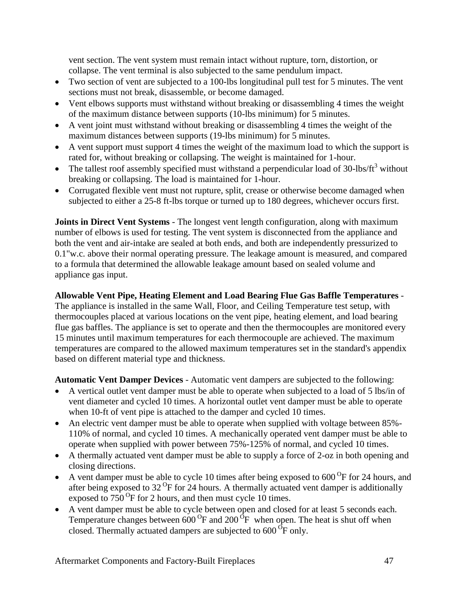vent section. The vent system must remain intact without rupture, torn, distortion, or collapse. The vent terminal is also subjected to the same pendulum impact.

- Two section of vent are subjected to a 100-lbs longitudinal pull test for 5 minutes. The vent sections must not break, disassemble, or become damaged.
- Vent elbows supports must withstand without breaking or disassembling 4 times the weight of the maximum distance between supports (10-lbs minimum) for 5 minutes.
- A vent joint must withstand without breaking or disassembling 4 times the weight of the maximum distances between supports (19-lbs minimum) for 5 minutes.
- A vent support must support 4 times the weight of the maximum load to which the support is rated for, without breaking or collapsing. The weight is maintained for 1-hour.
- The tallest roof assembly specified must withstand a perpendicular load of 30-lbs/ $\text{ft}^3$  without breaking or collapsing. The load is maintained for 1-hour.
- Corrugated flexible vent must not rupture, split, crease or otherwise become damaged when subjected to either a 25-8 ft-lbs torque or turned up to 180 degrees, whichever occurs first.

**Joints in Direct Vent Systems** - The longest vent length configuration, along with maximum number of elbows is used for testing. The vent system is disconnected from the appliance and both the vent and air-intake are sealed at both ends, and both are independently pressurized to 0.1"w.c. above their normal operating pressure. The leakage amount is measured, and compared to a formula that determined the allowable leakage amount based on sealed volume and appliance gas input.

# **Allowable Vent Pipe, Heating Element and Load Bearing Flue Gas Baffle Temperatures** -

The appliance is installed in the same Wall, Floor, and Ceiling Temperature test setup, with thermocouples placed at various locations on the vent pipe, heating element, and load bearing flue gas baffles. The appliance is set to operate and then the thermocouples are monitored every 15 minutes until maximum temperatures for each thermocouple are achieved. The maximum temperatures are compared to the allowed maximum temperatures set in the standard's appendix based on different material type and thickness.

**Automatic Vent Damper Devices** - Automatic vent dampers are subjected to the following:

- A vertical outlet vent damper must be able to operate when subjected to a load of 5 lbs/in of vent diameter and cycled 10 times. A horizontal outlet vent damper must be able to operate when 10-ft of vent pipe is attached to the damper and cycled 10 times.
- An electric vent damper must be able to operate when supplied with voltage between 85%- 110% of normal, and cycled 10 times. A mechanically operated vent damper must be able to operate when supplied with power between 75%-125% of normal, and cycled 10 times.
- A thermally actuated vent damper must be able to supply a force of 2-oz in both opening and closing directions.
- A vent damper must be able to cycle 10 times after being exposed to  $600^{\circ}$ F for 24 hours, and after being exposed to  $32^{\circ}$ F for 24 hours. A thermally actuated vent damper is additionally exposed to  $750^{\circ}$ F for 2 hours, and then must cycle 10 times.
- A vent damper must be able to cycle between open and closed for at least 5 seconds each. Temperature changes between  $600^{\circ}$ F and  $200^{\circ}$ F when open. The heat is shut off when closed. Thermally actuated dampers are subjected to  $600 \,^{\text{6}}$ F only.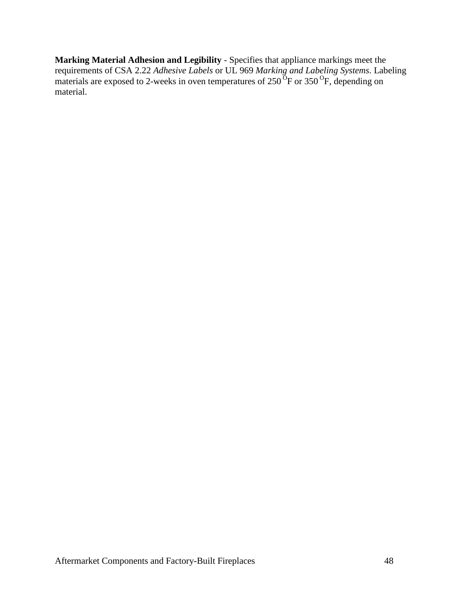**Marking Material Adhesion and Legibility** - Specifies that appliance markings meet the requirements of CSA 2.22 *Adhesive Labels* or UL 969 *Marking and Labeling Systems*. Labeling materials are exposed to 2-weeks in oven temperatures of  $250^{o}$ F or  $350^{o}$ F, depending on material.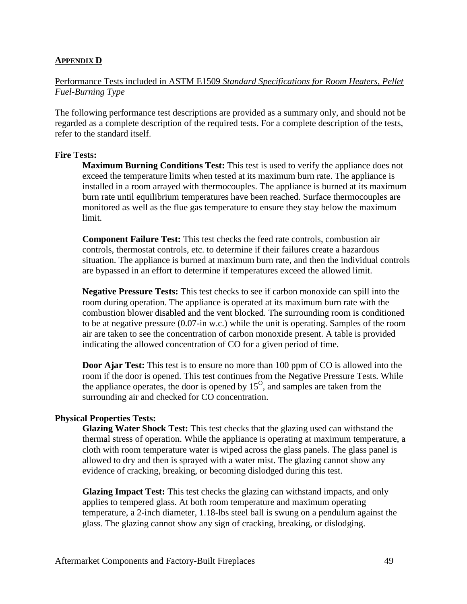#### **APPENDIX D**

### Performance Tests included in ASTM E1509 *Standard Specifications for Room Heaters, Pellet Fuel-Burning Type*

The following performance test descriptions are provided as a summary only, and should not be regarded as a complete description of the required tests. For a complete description of the tests, refer to the standard itself.

#### **Fire Tests:**

**Maximum Burning Conditions Test:** This test is used to verify the appliance does not exceed the temperature limits when tested at its maximum burn rate. The appliance is installed in a room arrayed with thermocouples. The appliance is burned at its maximum burn rate until equilibrium temperatures have been reached. Surface thermocouples are monitored as well as the flue gas temperature to ensure they stay below the maximum limit.

**Component Failure Test:** This test checks the feed rate controls, combustion air controls, thermostat controls, etc. to determine if their failures create a hazardous situation. The appliance is burned at maximum burn rate, and then the individual controls are bypassed in an effort to determine if temperatures exceed the allowed limit.

**Negative Pressure Tests:** This test checks to see if carbon monoxide can spill into the room during operation. The appliance is operated at its maximum burn rate with the combustion blower disabled and the vent blocked. The surrounding room is conditioned to be at negative pressure (0.07-in w.c.) while the unit is operating. Samples of the room air are taken to see the concentration of carbon monoxide present. A table is provided indicating the allowed concentration of CO for a given period of time.

**Door Ajar Test:** This test is to ensure no more than 100 ppm of CO is allowed into the room if the door is opened. This test continues from the Negative Pressure Tests. While the appliance operates, the door is opened by  $15<sup>o</sup>$ , and samples are taken from the surrounding air and checked for CO concentration.

#### **Physical Properties Tests:**

**Glazing Water Shock Test:** This test checks that the glazing used can withstand the thermal stress of operation. While the appliance is operating at maximum temperature, a cloth with room temperature water is wiped across the glass panels. The glass panel is allowed to dry and then is sprayed with a water mist. The glazing cannot show any evidence of cracking, breaking, or becoming dislodged during this test.

**Glazing Impact Test:** This test checks the glazing can withstand impacts, and only applies to tempered glass. At both room temperature and maximum operating temperature, a 2-inch diameter, 1.18-lbs steel ball is swung on a pendulum against the glass. The glazing cannot show any sign of cracking, breaking, or dislodging.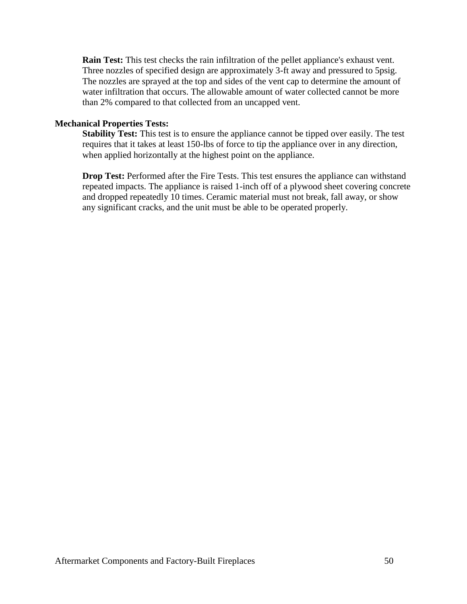**Rain Test:** This test checks the rain infiltration of the pellet appliance's exhaust vent. Three nozzles of specified design are approximately 3-ft away and pressured to 5psig. The nozzles are sprayed at the top and sides of the vent cap to determine the amount of water infiltration that occurs. The allowable amount of water collected cannot be more than 2% compared to that collected from an uncapped vent.

#### **Mechanical Properties Tests:**

**Stability Test:** This test is to ensure the appliance cannot be tipped over easily. The test requires that it takes at least 150-lbs of force to tip the appliance over in any direction, when applied horizontally at the highest point on the appliance.

**Drop Test:** Performed after the Fire Tests. This test ensures the appliance can withstand repeated impacts. The appliance is raised 1-inch off of a plywood sheet covering concrete and dropped repeatedly 10 times. Ceramic material must not break, fall away, or show any significant cracks, and the unit must be able to be operated properly.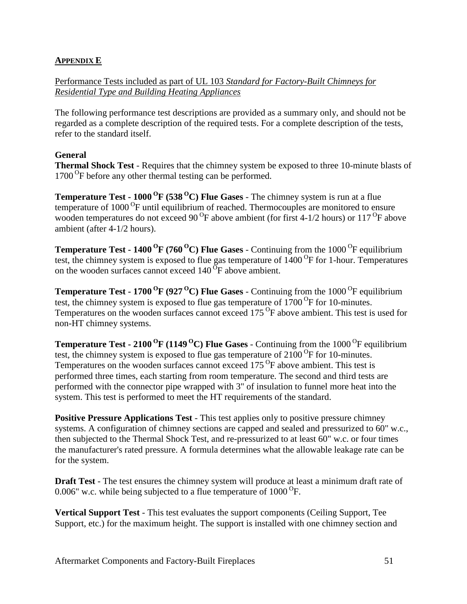## **APPENDIX E**

Performance Tests included as part of UL 103 *Standard for Factory-Built Chimneys for Residential Type and Building Heating Appliances*

The following performance test descriptions are provided as a summary only, and should not be regarded as a complete description of the required tests. For a complete description of the tests, refer to the standard itself.

## **General**

**Thermal Shock Test** - Requires that the chimney system be exposed to three 10-minute blasts of 1700<sup>o</sup>F before any other thermal testing can be performed.

**Temperature Test - 1000 <sup>O</sup> F (538 <sup>O</sup>C) Flue Gases** - The chimney system is run at a flue temperature of 1000<sup>o</sup>F until equilibrium of reached. Thermocouples are monitored to ensure wooden temperatures do not exceed 90<sup>o</sup>F above ambient (for first 4-1/2 hours) or 117<sup>o</sup>F above ambient (after 4-1/2 hours).

**Temperature Test - 1400<sup>O</sup>F (760<sup>O</sup>C) Flue Gases - Continuing from the 1000<sup>O</sup>F equilibrium** test, the chimney system is exposed to flue gas temperature of  $1400<sup>o</sup>F$  for 1-hour. Temperatures on the wooden surfaces cannot exceed  $140<sup>o</sup>F$  above ambient.

**Temperature Test - 1700<sup>O</sup>F (927<sup>O</sup>C) Flue Gases - Continuing from the 1000<sup>O</sup>F equilibrium** test, the chimney system is exposed to flue gas temperature of  $1700^{\circ}$ F for 10-minutes. Temperatures on the wooden surfaces cannot exceed 175<sup>o</sup>F above ambient. This test is used for non-HT chimney systems.

**Temperature Test - 2100<sup>O</sup>F** (1149<sup>O</sup>C) Flue Gases - Continuing from the 1000<sup>O</sup>F equilibrium test, the chimney system is exposed to flue gas temperature of  $2100^{\circ}$ F for 10-minutes. Temperatures on the wooden surfaces cannot exceed 175<sup>o</sup>F above ambient. This test is performed three times, each starting from room temperature. The second and third tests are performed with the connector pipe wrapped with 3" of insulation to funnel more heat into the system. This test is performed to meet the HT requirements of the standard.

**Positive Pressure Applications Test** - This test applies only to positive pressure chimney systems. A configuration of chimney sections are capped and sealed and pressurized to 60" w.c., then subjected to the Thermal Shock Test, and re-pressurized to at least 60" w.c. or four times the manufacturer's rated pressure. A formula determines what the allowable leakage rate can be for the system.

**Draft Test** - The test ensures the chimney system will produce at least a minimum draft rate of 0.006" w.c. while being subjected to a flue temperature of  $1000^{\circ}$ F.

**Vertical Support Test** - This test evaluates the support components (Ceiling Support, Tee Support, etc.) for the maximum height. The support is installed with one chimney section and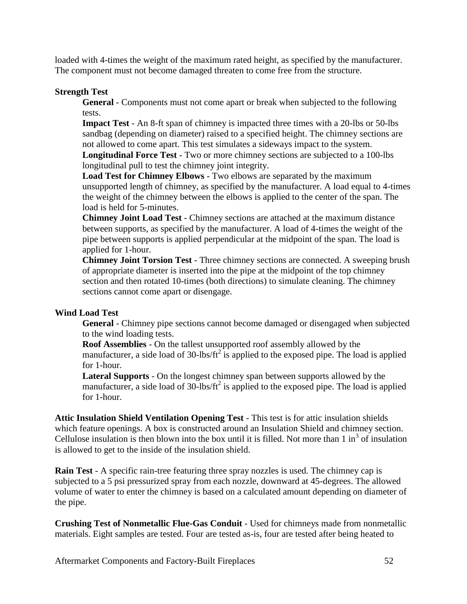loaded with 4-times the weight of the maximum rated height, as specified by the manufacturer. The component must not become damaged threaten to come free from the structure.

### **Strength Test**

**General** - Components must not come apart or break when subjected to the following tests.

**Impact Test** - An 8-ft span of chimney is impacted three times with a 20-lbs or 50-lbs sandbag (depending on diameter) raised to a specified height. The chimney sections are not allowed to come apart. This test simulates a sideways impact to the system. **Longitudinal Force Test** - Two or more chimney sections are subjected to a 100-lbs

longitudinal pull to test the chimney joint integrity.

**Load Test for Chimney Elbows** - Two elbows are separated by the maximum unsupported length of chimney, as specified by the manufacturer. A load equal to 4-times the weight of the chimney between the elbows is applied to the center of the span. The load is held for 5-minutes.

**Chimney Joint Load Test** - Chimney sections are attached at the maximum distance between supports, as specified by the manufacturer. A load of 4-times the weight of the pipe between supports is applied perpendicular at the midpoint of the span. The load is applied for 1-hour.

**Chimney Joint Torsion Test** - Three chimney sections are connected. A sweeping brush of appropriate diameter is inserted into the pipe at the midpoint of the top chimney section and then rotated 10-times (both directions) to simulate cleaning. The chimney sections cannot come apart or disengage.

## **Wind Load Test**

**General** - Chimney pipe sections cannot become damaged or disengaged when subjected to the wind loading tests.

**Roof Assemblies** - On the tallest unsupported roof assembly allowed by the manufacturer, a side load of  $30$ -lbs/ft<sup>2</sup> is applied to the exposed pipe. The load is applied for 1-hour.

**Lateral Supports** - On the longest chimney span between supports allowed by the manufacturer, a side load of  $30$ -lbs/ft<sup>2</sup> is applied to the exposed pipe. The load is applied for 1-hour.

**Attic Insulation Shield Ventilation Opening Test** - This test is for attic insulation shields which feature openings. A box is constructed around an Insulation Shield and chimney section. Cellulose insulation is then blown into the box until it is filled. Not more than  $1 \text{ in}^3$  of insulation is allowed to get to the inside of the insulation shield.

**Rain Test** - A specific rain-tree featuring three spray nozzles is used. The chimney cap is subjected to a 5 psi pressurized spray from each nozzle, downward at 45-degrees. The allowed volume of water to enter the chimney is based on a calculated amount depending on diameter of the pipe.

**Crushing Test of Nonmetallic Flue-Gas Conduit** - Used for chimneys made from nonmetallic materials. Eight samples are tested. Four are tested as-is, four are tested after being heated to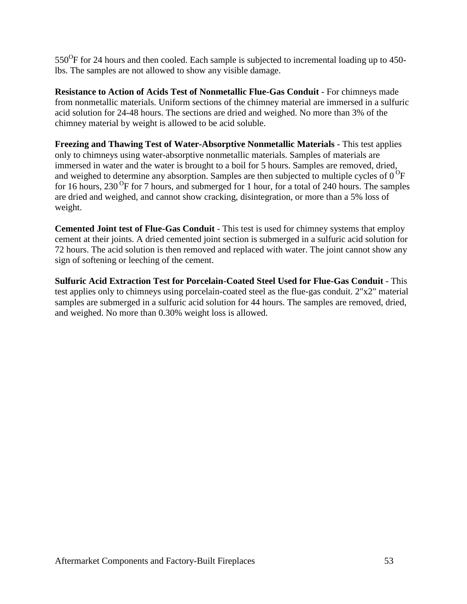$550^{\circ}$ F for 24 hours and then cooled. Each sample is subjected to incremental loading up to 450lbs. The samples are not allowed to show any visible damage.

**Resistance to Action of Acids Test of Nonmetallic Flue-Gas Conduit** - For chimneys made from nonmetallic materials. Uniform sections of the chimney material are immersed in a sulfuric acid solution for 24-48 hours. The sections are dried and weighed. No more than 3% of the chimney material by weight is allowed to be acid soluble.

**Freezing and Thawing Test of Water-Absorptive Nonmetallic Materials** - This test applies only to chimneys using water-absorptive nonmetallic materials. Samples of materials are immersed in water and the water is brought to a boil for 5 hours. Samples are removed, dried, and weighed to determine any absorption. Samples are then subjected to multiple cycles of  $0^{\circ}$ F for 16 hours,  $230^{\circ}$ F for 7 hours, and submerged for 1 hour, for a total of 240 hours. The samples are dried and weighed, and cannot show cracking, disintegration, or more than a 5% loss of weight.

**Cemented Joint test of Flue-Gas Conduit** - This test is used for chimney systems that employ cement at their joints. A dried cemented joint section is submerged in a sulfuric acid solution for 72 hours. The acid solution is then removed and replaced with water. The joint cannot show any sign of softening or leeching of the cement.

**Sulfuric Acid Extraction Test for Porcelain-Coated Steel Used for Flue-Gas Conduit** - This test applies only to chimneys using porcelain-coated steel as the flue-gas conduit. 2"x2" material samples are submerged in a sulfuric acid solution for 44 hours. The samples are removed, dried, and weighed. No more than 0.30% weight loss is allowed.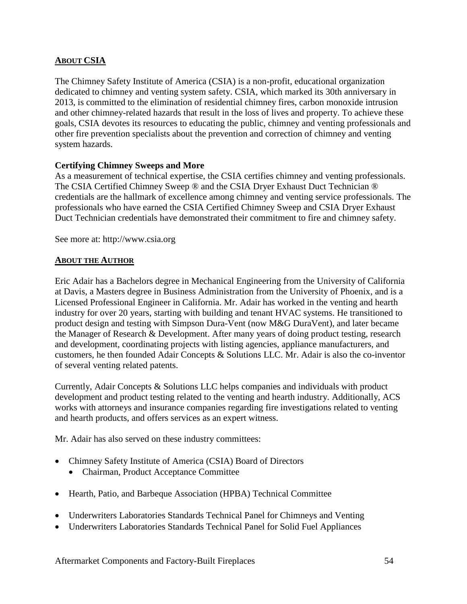## **ABOUT CSIA**

The Chimney Safety Institute of America (CSIA) is a non-profit, educational organization dedicated to chimney and venting system safety. CSIA, which marked its 30th anniversary in 2013, is committed to the elimination of residential chimney fires, carbon monoxide intrusion and other chimney-related hazards that result in the loss of lives and property. To achieve these goals, CSIA devotes its resources to educating the public, chimney and venting professionals and other fire prevention specialists about the prevention and correction of chimney and venting system hazards.

## **Certifying Chimney Sweeps and More**

As a measurement of technical expertise, the CSIA certifies chimney and venting professionals. The CSIA Certified Chimney Sweep ® and the CSIA Dryer Exhaust Duct Technician ® credentials are the hallmark of excellence among chimney and venting service professionals. The professionals who have earned the CSIA Certified Chimney Sweep and CSIA Dryer Exhaust Duct Technician credentials have demonstrated their commitment to fire and chimney safety.

See more at: http://www.csia.org

### **ABOUT THE AUTHOR**

Eric Adair has a Bachelors degree in Mechanical Engineering from the University of California at Davis, a Masters degree in Business Administration from the University of Phoenix, and is a Licensed Professional Engineer in California. Mr. Adair has worked in the venting and hearth industry for over 20 years, starting with building and tenant HVAC systems. He transitioned to product design and testing with Simpson Dura-Vent (now M&G DuraVent), and later became the Manager of Research & Development. After many years of doing product testing, research and development, coordinating projects with listing agencies, appliance manufacturers, and customers, he then founded Adair Concepts & Solutions LLC. Mr. Adair is also the co-inventor of several venting related patents.

Currently, Adair Concepts & Solutions LLC helps companies and individuals with product development and product testing related to the venting and hearth industry. Additionally, ACS works with attorneys and insurance companies regarding fire investigations related to venting and hearth products, and offers services as an expert witness.

Mr. Adair has also served on these industry committees:

- Chimney Safety Institute of America (CSIA) Board of Directors
	- Chairman, Product Acceptance Committee
- Hearth, Patio, and Barbeque Association (HPBA) Technical Committee
- Underwriters Laboratories Standards Technical Panel for Chimneys and Venting
- Underwriters Laboratories Standards Technical Panel for Solid Fuel Appliances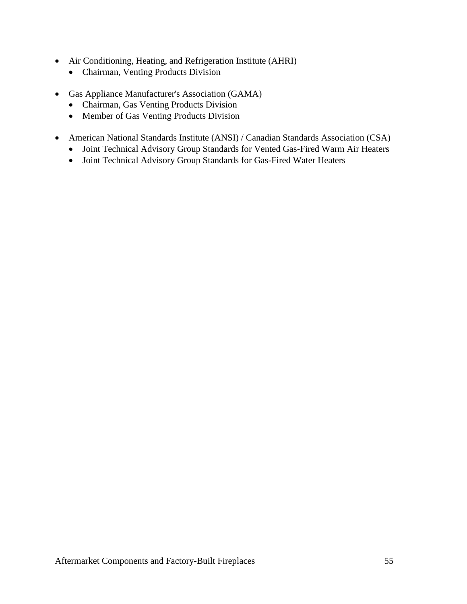- Air Conditioning, Heating, and Refrigeration Institute (AHRI)
	- Chairman, Venting Products Division
- Gas Appliance Manufacturer's Association (GAMA)
	- Chairman, Gas Venting Products Division
	- Member of Gas Venting Products Division
- American National Standards Institute (ANSI) / Canadian Standards Association (CSA)
	- Joint Technical Advisory Group Standards for Vented Gas-Fired Warm Air Heaters
	- Joint Technical Advisory Group Standards for Gas-Fired Water Heaters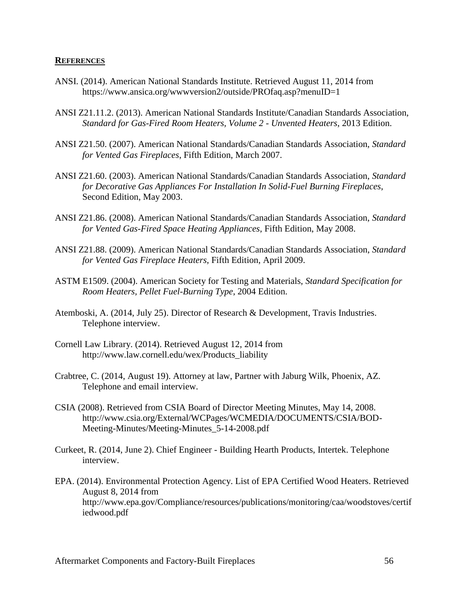#### **REFERENCES**

- ANSI. (2014). American National Standards Institute. Retrieved August 11, 2014 from https://www.ansica.org/wwwversion2/outside/PROfaq.asp?menuID=1
- ANSI Z21.11.2. (2013). American National Standards Institute/Canadian Standards Association, *Standard for Gas-Fired Room Heaters, Volume 2 - Unvented Heaters*, 2013 Edition.
- ANSI Z21.50. (2007). American National Standards/Canadian Standards Association, *Standard for Vented Gas Fireplaces*, Fifth Edition, March 2007.
- ANSI Z21.60. (2003). American National Standards/Canadian Standards Association, *Standard for Decorative Gas Appliances For Installation In Solid-Fuel Burning Fireplaces*, Second Edition, May 2003.
- ANSI Z21.86. (2008). American National Standards/Canadian Standards Association, *Standard for Vented Gas-Fired Space Heating Appliances*, Fifth Edition, May 2008.
- ANSI Z21.88. (2009). American National Standards/Canadian Standards Association, *Standard for Vented Gas Fireplace Heaters*, Fifth Edition, April 2009.
- ASTM E1509. (2004). American Society for Testing and Materials, *Standard Specification for Room Heaters, Pellet Fuel-Burning Type*, 2004 Edition.
- Atemboski, A. (2014, July 25). Director of Research & Development, Travis Industries. Telephone interview.
- Cornell Law Library. (2014). Retrieved August 12, 2014 from http://www.law.cornell.edu/wex/Products\_liability
- Crabtree, C. (2014, August 19). Attorney at law, Partner with Jaburg Wilk, Phoenix, AZ. Telephone and email interview.
- CSIA (2008). Retrieved from CSIA Board of Director Meeting Minutes, May 14, 2008. http://www.csia.org/External/WCPages/WCMEDIA/DOCUMENTS/CSIA/BOD-Meeting-Minutes/Meeting-Minutes\_5-14-2008.pdf
- Curkeet, R. (2014, June 2). Chief Engineer Building Hearth Products, Intertek. Telephone interview.
- EPA. (2014). Environmental Protection Agency. List of EPA Certified Wood Heaters. Retrieved August 8, 2014 from http://www.epa.gov/Compliance/resources/publications/monitoring/caa/woodstoves/certif iedwood.pdf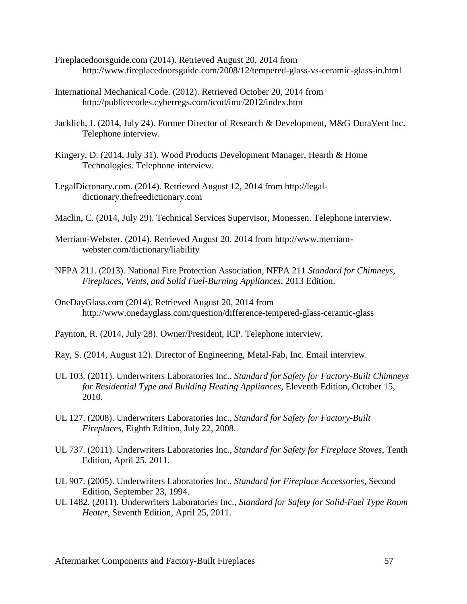- Fireplacedoorsguide.com (2014). Retrieved August 20, 2014 from http://www.fireplacedoorsguide.com/2008/12/tempered-glass-vs-ceramic-glass-in.html
- International Mechanical Code. (2012). Retrieved October 20, 2014 from http://publicecodes.cyberregs.com/icod/imc/2012/index.htm
- Jacklich, J. (2014, July 24). Former Director of Research & Development, M&G DuraVent Inc. Telephone interview.
- Kingery, D. (2014, July 31). Wood Products Development Manager, Hearth & Home Technologies. Telephone interview.
- LegalDictonary.com. (2014). Retrieved August 12, 2014 from http://legaldictionary.thefreedictionary.com
- Maclin, C. (2014, July 29). Technical Services Supervisor, Monessen. Telephone interview.
- Merriam-Webster. (2014). Retrieved August 20, 2014 from http://www.merriamwebster.com/dictionary/liability
- NFPA 211. (2013). National Fire Protection Association, NFPA 211 *Standard for Chimneys, Fireplaces, Vents, and Solid Fuel-Burning Appliances*, 2013 Edition.
- OneDayGlass.com (2014). Retrieved August 20, 2014 from http://www.onedayglass.com/question/difference-tempered-glass-ceramic-glass
- Paynton, R. (2014, July 28). Owner/President, ICP. Telephone interview.
- Ray, S. (2014, August 12). Director of Engineering, Metal-Fab, Inc. Email interview.
- UL 103. (2011). Underwriters Laboratories Inc., *Standard for Safety for Factory-Built Chimneys for Residential Type and Building Heating Appliances*, Eleventh Edition, October 15, 2010.
- UL 127. (2008). Underwriters Laboratories Inc., *Standard for Safety for Factory-Built Fireplaces*, Eighth Edition, July 22, 2008.
- UL 737. (2011). Underwriters Laboratories Inc., *Standard for Safety for Fireplace Stoves*, Tenth Edition, April 25, 2011.
- UL 907. (2005). Underwriters Laboratories Inc., *Standard for Fireplace Accessories*, Second Edition, September 23, 1994.
- UL 1482. (2011). Underwriters Laboratories Inc., *Standard for Safety for Solid-Fuel Type Room Heater*, Seventh Edition, April 25, 2011.